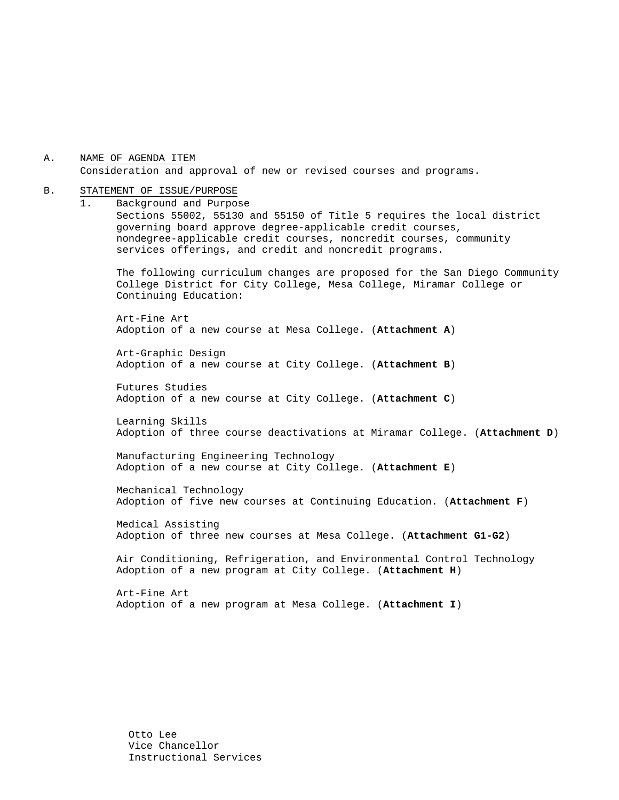A. NAME OF AGENDA ITEM Consideration and approval of new or revised courses and programs.

#### B. STATEMENT OF ISSUE/PURPOSE

1. Background and Purpose Sections 55002, 55130 and 55150 of Title 5 requires the local district governing board approve degree-applicable credit courses, nondegree-applicable credit courses, noncredit courses, community services offerings, and credit and noncredit programs.

The following curriculum changes are proposed for the San Diego Community College District for City College, Mesa College, Miramar College or Continuing Education:

 Art-Fine Art Adoption of a new course at Mesa College. (**Attachment A**)

Art-Graphic Design Adoption of a new course at City College. (**Attachment B**)

Futures Studies Adoption of a new course at City College. (**Attachment C**)

Learning Skills Adoption of three course deactivations at Miramar College. (**Attachment D**)

Manufacturing Engineering Technology Adoption of a new course at City College. (**Attachment E**)

Mechanical Technology Adoption of five new courses at Continuing Education. (**Attachment F**)

Medical Assisting Adoption of three new courses at Mesa College. (**Attachment G1-G2**)

 Air Conditioning, Refrigeration, and Environmental Control Technology Adoption of a new program at City College. (**Attachment H**)

Art-Fine Art Adoption of a new program at Mesa College. (**Attachment I**)

Otto Lee Vice Chancellor Instructional Services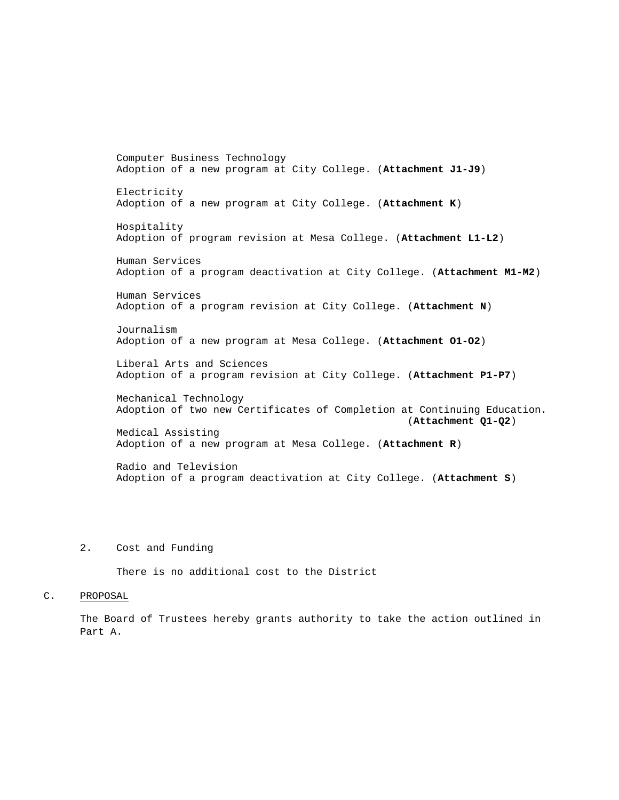Computer Business Technology Adoption of a new program at City College. (**Attachment J1-J9**) Electricity Adoption of a new program at City College. (**Attachment K**) Hospitality Adoption of program revision at Mesa College. (**Attachment L1-L2**) Human Services Adoption of a program deactivation at City College. (**Attachment M1-M2**) Human Services Adoption of a program revision at City College. (**Attachment N**) Journalism Adoption of a new program at Mesa College. (**Attachment O1-O2**) Liberal Arts and Sciences Adoption of a program revision at City College. (**Attachment P1-P7**) Mechanical Technology Adoption of two new Certificates of Completion at Continuing Education. (**Attachment Q1-Q2**) Medical Assisting Adoption of a new program at Mesa College. (**Attachment R**) Radio and Television Adoption of a program deactivation at City College. (**Attachment S**)

#### 2. Cost and Funding

There is no additional cost to the District

#### C. PROPOSAL

The Board of Trustees hereby grants authority to take the action outlined in Part A.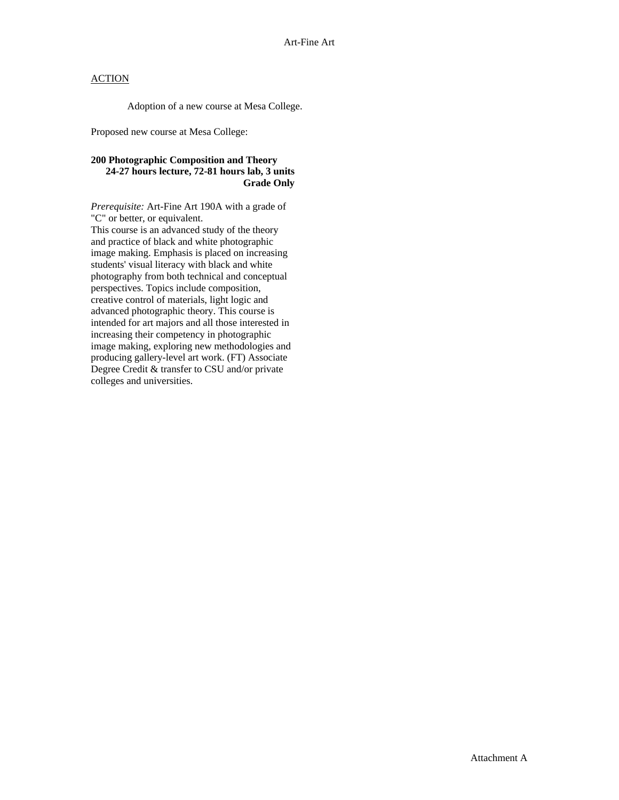Adoption of a new course at Mesa College.

Proposed new course at Mesa College:

### **200 Photographic Composition and Theory 24-27 hours lecture, 72-81 hours lab, 3 units Grade Only**

*Prerequisite:* Art-Fine Art 190A with a grade of "C" or better, or equivalent.

This course is an advanced study of the theory and practice of black and white photographic image making. Emphasis is placed on increasing students' visual literacy with black and white photography from both technical and conceptual perspectives. Topics include composition, creative control of materials, light logic and advanced photographic theory. This course is intended for art majors and all those interested in increasing their competency in photographic image making, exploring new methodologies and producing gallery-level art work. (FT) Associate Degree Credit & transfer to CSU and/or private colleges and universities.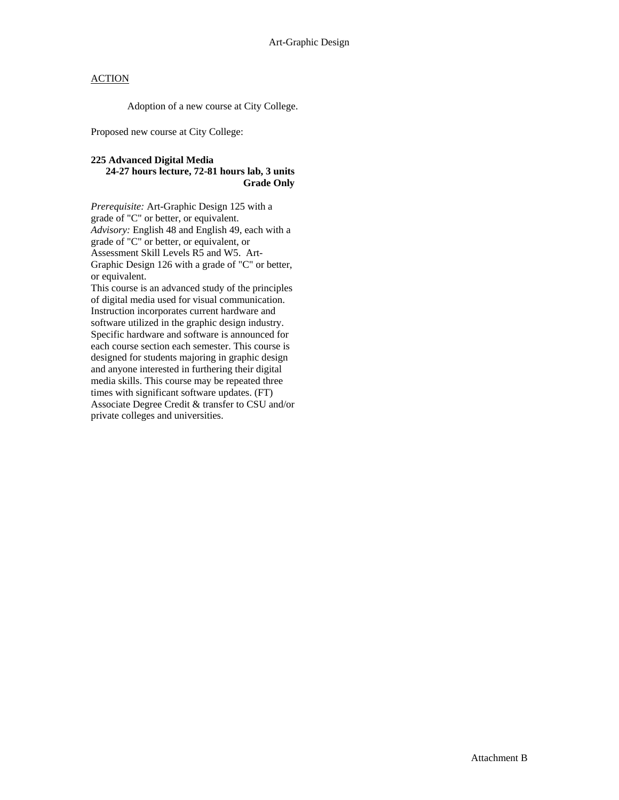Adoption of a new course at City College.

Proposed new course at City College:

#### **225 Advanced Digital Media 24-27 hours lecture, 72-81 hours lab, 3 units Grade Only**

*Prerequisite:* Art-Graphic Design 125 with a grade of "C" or better, or equivalent. *Advisory:* English 48 and English 49, each with a grade of "C" or better, or equivalent, or Assessment Skill Levels R5 and W5. Art-Graphic Design 126 with a grade of "C" or better, or equivalent.

This course is an advanced study of the principles of digital media used for visual communication. Instruction incorporates current hardware and software utilized in the graphic design industry. Specific hardware and software is announced for each course section each semester. This course is designed for students majoring in graphic design and anyone interested in furthering their digital media skills. This course may be repeated three times with significant software updates. (FT) Associate Degree Credit & transfer to CSU and/or private colleges and universities.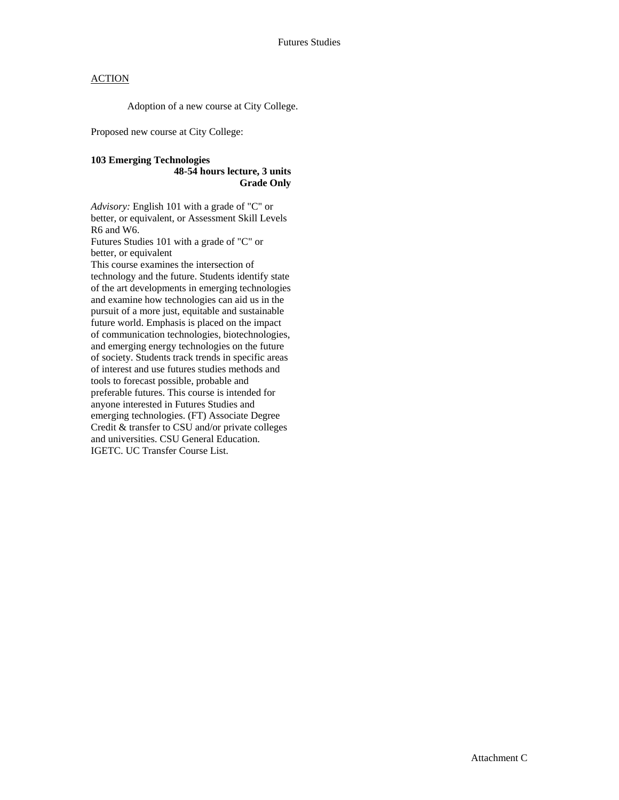Adoption of a new course at City College.

Proposed new course at City College:

#### **103 Emerging Technologies 48-54 hours lecture, 3 units Grade Only**

*Advisory:* English 101 with a grade of "C" or better, or equivalent, or Assessment Skill Levels R6 and W6.

Futures Studies 101 with a grade of "C" or better, or equivalent

This course examines the intersection of technology and the future. Students identify state of the art developments in emerging technologies and examine how technologies can aid us in the pursuit of a more just, equitable and sustainable future world. Emphasis is placed on the impact of communication technologies, biotechnologies, and emerging energy technologies on the future of society. Students track trends in specific areas of interest and use futures studies methods and tools to forecast possible, probable and preferable futures. This course is intended for anyone interested in Futures Studies and emerging technologies. (FT) Associate Degree Credit & transfer to CSU and/or private colleges and universities. CSU General Education. IGETC. UC Transfer Course List.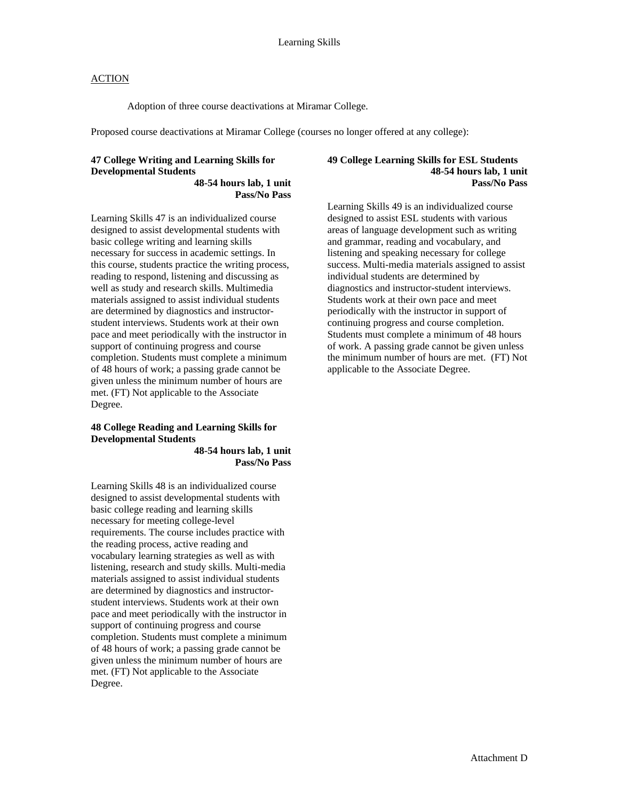Adoption of three course deactivations at Miramar College.

Proposed course deactivations at Miramar College (courses no longer offered at any college):

### **47 College Writing and Learning Skills for Developmental Students**

**48-54 hours lab, 1 unit Pass/No Pass** 

Learning Skills 47 is an individualized course designed to assist developmental students with basic college writing and learning skills necessary for success in academic settings. In this course, students practice the writing process, reading to respond, listening and discussing as well as study and research skills. Multimedia materials assigned to assist individual students are determined by diagnostics and instructorstudent interviews. Students work at their own pace and meet periodically with the instructor in support of continuing progress and course completion. Students must complete a minimum of 48 hours of work; a passing grade cannot be given unless the minimum number of hours are met. (FT) Not applicable to the Associate Degree.

### **48 College Reading and Learning Skills for Developmental Students**

**48-54 hours lab, 1 unit Pass/No Pass** 

Learning Skills 48 is an individualized course designed to assist developmental students with basic college reading and learning skills necessary for meeting college-level requirements. The course includes practice with the reading process, active reading and vocabulary learning strategies as well as with listening, research and study skills. Multi-media materials assigned to assist individual students are determined by diagnostics and instructorstudent interviews. Students work at their own pace and meet periodically with the instructor in support of continuing progress and course completion. Students must complete a minimum of 48 hours of work; a passing grade cannot be given unless the minimum number of hours are met. (FT) Not applicable to the Associate Degree.

#### **49 College Learning Skills for ESL Students 48-54 hours lab, 1 unit Pass/No Pass**

Learning Skills 49 is an individualized course designed to assist ESL students with various areas of language development such as writing and grammar, reading and vocabulary, and listening and speaking necessary for college success. Multi-media materials assigned to assist individual students are determined by diagnostics and instructor-student interviews. Students work at their own pace and meet periodically with the instructor in support of continuing progress and course completion. Students must complete a minimum of 48 hours of work. A passing grade cannot be given unless the minimum number of hours are met. (FT) Not applicable to the Associate Degree.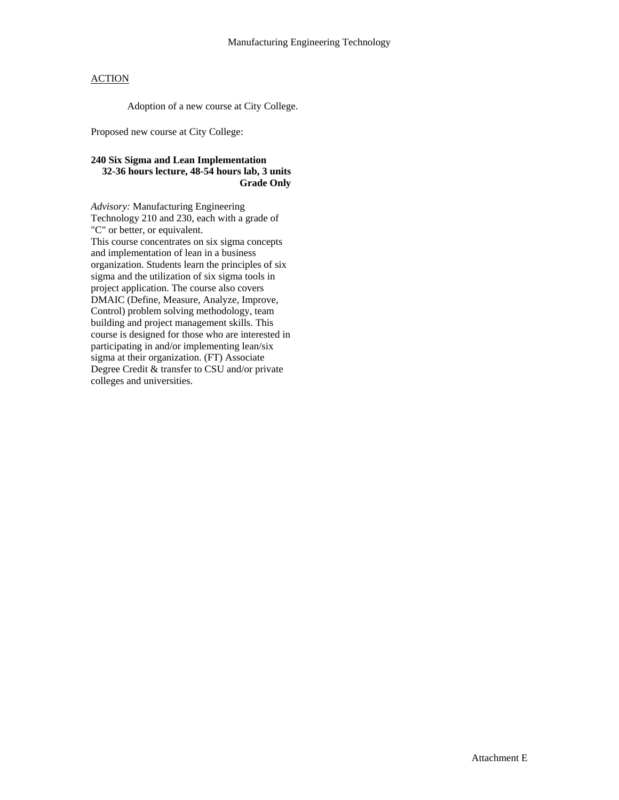Adoption of a new course at City College.

Proposed new course at City College:

### **240 Six Sigma and Lean Implementation 32-36 hours lecture, 48-54 hours lab, 3 units Grade Only**

*Advisory:* Manufacturing Engineering Technology 210 and 230, each with a grade of "C" or better, or equivalent. This course concentrates on six sigma concepts and implementation of lean in a business organization. Students learn the principles of six sigma and the utilization of six sigma tools in project application. The course also covers DMAIC (Define, Measure, Analyze, Improve, Control) problem solving methodology, team building and project management skills. This course is designed for those who are interested in participating in and/or implementing lean/six sigma at their organization. (FT) Associate Degree Credit & transfer to CSU and/or private colleges and universities.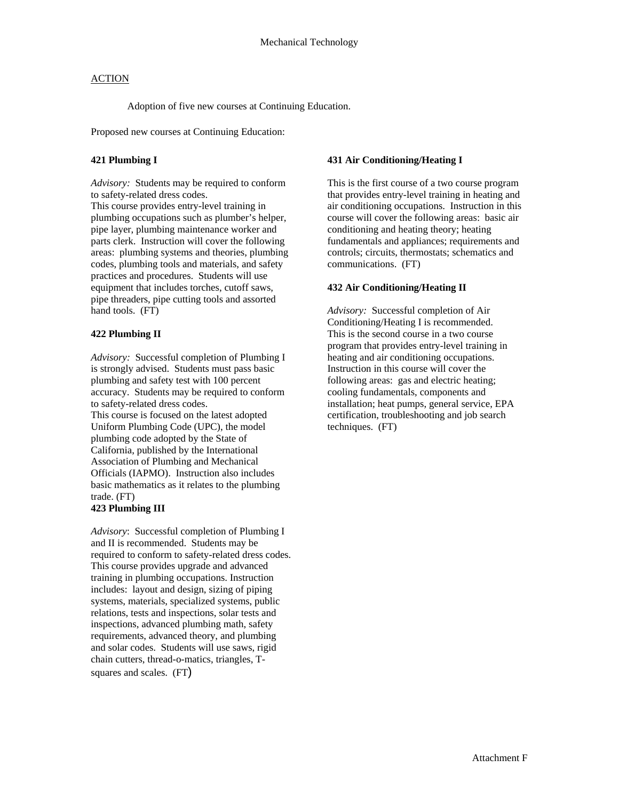Adoption of five new courses at Continuing Education.

Proposed new courses at Continuing Education:

#### **421 Plumbing I**

*Advisory:* Students may be required to conform to safety-related dress codes.

This course provides entry-level training in plumbing occupations such as plumber's helper, pipe layer, plumbing maintenance worker and parts clerk. Instruction will cover the following areas: plumbing systems and theories, plumbing codes, plumbing tools and materials, and safety practices and procedures. Students will use equipment that includes torches, cutoff saws, pipe threaders, pipe cutting tools and assorted hand tools. (FT)

### **422 Plumbing II**

*Advisory:* Successful completion of Plumbing I is strongly advised. Students must pass basic plumbing and safety test with 100 percent accuracy. Students may be required to conform to safety-related dress codes. This course is focused on the latest adopted Uniform Plumbing Code (UPC), the model plumbing code adopted by the State of California, published by the International Association of Plumbing and Mechanical Officials (IAPMO). Instruction also includes basic mathematics as it relates to the plumbing trade. (FT)

### **423 Plumbing III**

*Advisory*: Successful completion of Plumbing I and II is recommended. Students may be required to conform to safety-related dress codes. This course provides upgrade and advanced training in plumbing occupations. Instruction includes: layout and design, sizing of piping systems, materials, specialized systems, public relations, tests and inspections, solar tests and inspections, advanced plumbing math, safety requirements, advanced theory, and plumbing and solar codes. Students will use saws, rigid chain cutters, thread-o-matics, triangles, Tsquares and scales. (FT)

#### **431 Air Conditioning/Heating I**

This is the first course of a two course program that provides entry-level training in heating and air conditioning occupations. Instruction in this course will cover the following areas: basic air conditioning and heating theory; heating fundamentals and appliances; requirements and controls; circuits, thermostats; schematics and communications. (FT)

### **432 Air Conditioning/Heating II**

*Advisory:* Successful completion of Air Conditioning/Heating I is recommended. This is the second course in a two course program that provides entry-level training in heating and air conditioning occupations. Instruction in this course will cover the following areas: gas and electric heating; cooling fundamentals, components and installation; heat pumps, general service, EPA certification, troubleshooting and job search techniques. (FT)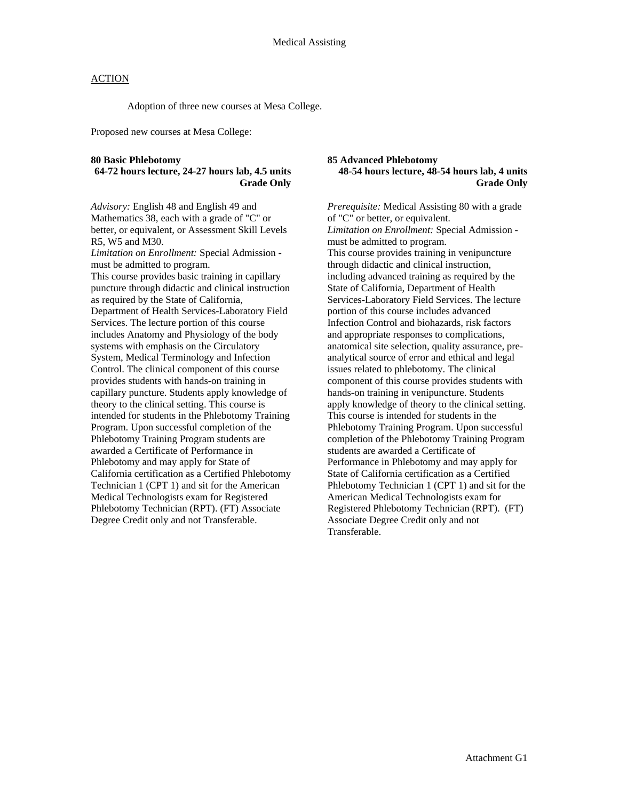Adoption of three new courses at Mesa College.

Proposed new courses at Mesa College:

#### **80 Basic Phlebotomy**

### **64-72 hours lecture, 24-27 hours lab, 4.5 units Grade Only**

*Advisory:* English 48 and English 49 and Mathematics 38, each with a grade of "C" or better, or equivalent, or Assessment Skill Levels R5, W5 and M30.

*Limitation on Enrollment:* Special Admission must be admitted to program. This course provides basic training in capillary puncture through didactic and clinical instruction as required by the State of California, Department of Health Services-Laboratory Field Services. The lecture portion of this course includes Anatomy and Physiology of the body systems with emphasis on the Circulatory System, Medical Terminology and Infection Control. The clinical component of this course provides students with hands-on training in capillary puncture. Students apply knowledge of theory to the clinical setting. This course is intended for students in the Phlebotomy Training Program. Upon successful completion of the Phlebotomy Training Program students are awarded a Certificate of Performance in Phlebotomy and may apply for State of California certification as a Certified Phlebotomy Technician 1 (CPT 1) and sit for the American Medical Technologists exam for Registered Phlebotomy Technician (RPT). (FT) Associate Degree Credit only and not Transferable.

#### **85 Advanced Phlebotomy 48-54 hours lecture, 48-54 hours lab, 4 units Grade Only**

*Prerequisite:* Medical Assisting 80 with a grade of "C" or better, or equivalent. *Limitation on Enrollment:* Special Admission must be admitted to program. This course provides training in venipuncture through didactic and clinical instruction, including advanced training as required by the State of California, Department of Health Services-Laboratory Field Services. The lecture portion of this course includes advanced Infection Control and biohazards, risk factors and appropriate responses to complications, anatomical site selection, quality assurance, preanalytical source of error and ethical and legal issues related to phlebotomy. The clinical component of this course provides students with hands-on training in venipuncture. Students apply knowledge of theory to the clinical setting. This course is intended for students in the Phlebotomy Training Program. Upon successful completion of the Phlebotomy Training Program students are awarded a Certificate of Performance in Phlebotomy and may apply for State of California certification as a Certified Phlebotomy Technician 1 (CPT 1) and sit for the American Medical Technologists exam for Registered Phlebotomy Technician (RPT). (FT) Associate Degree Credit only and not Transferable.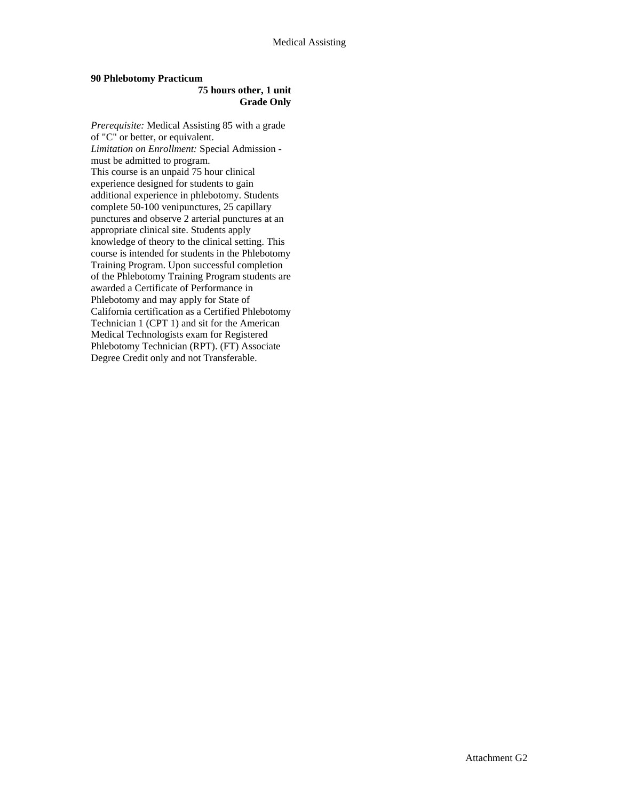### **90 Phlebotomy Practicum**

#### **75 hours other, 1 unit Grade Only**

*Prerequisite:* Medical Assisting 85 with a grade of "C" or better, or equivalent. *Limitation on Enrollment:* Special Admission must be admitted to program. This course is an unpaid 75 hour clinical experience designed for students to gain additional experience in phlebotomy. Students complete 50-100 venipunctures, 25 capillary punctures and observe 2 arterial punctures at an appropriate clinical site. Students apply knowledge of theory to the clinical setting. This course is intended for students in the Phlebotomy Training Program. Upon successful completion of the Phlebotomy Training Program students are awarded a Certificate of Performance in Phlebotomy and may apply for State of California certification as a Certified Phlebotomy Technician 1 (CPT 1) and sit for the American Medical Technologists exam for Registered Phlebotomy Technician (RPT). (FT) Associate Degree Credit only and not Transferable.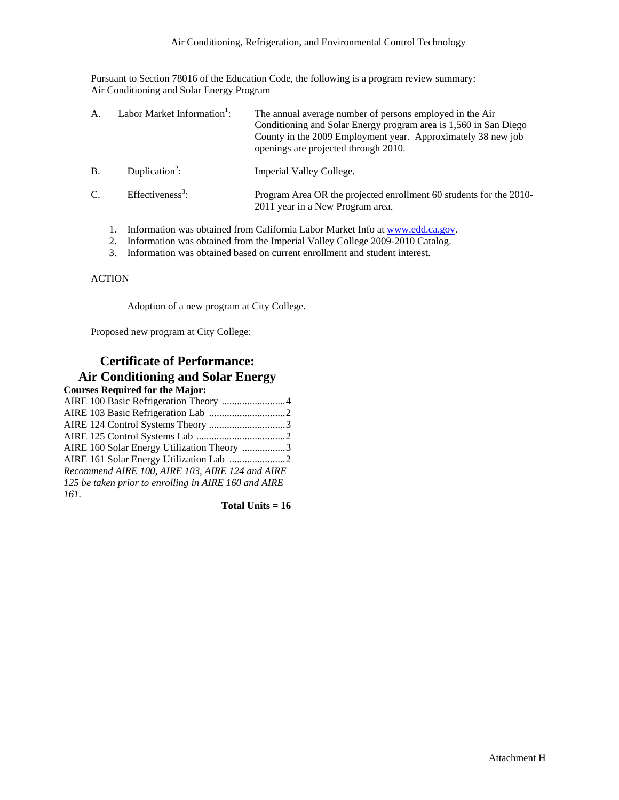Pursuant to Section 78016 of the Education Code, the following is a program review summary: Air Conditioning and Solar Energy Program

| A.                                                                            |  | Labor Market Information <sup>1</sup> : | The annual average number of persons employed in the Air<br>Conditioning and Solar Energy program area is 1,560 in San Diego<br>County in the 2009 Employment year. Approximately 38 new job<br>openings are projected through 2010. |
|-------------------------------------------------------------------------------|--|-----------------------------------------|--------------------------------------------------------------------------------------------------------------------------------------------------------------------------------------------------------------------------------------|
| <b>B.</b>                                                                     |  | Duplication <sup>2</sup> :              | Imperial Valley College.                                                                                                                                                                                                             |
| $C_{\cdot}$                                                                   |  | Effectiveness <sup>3</sup> :            | Program Area OR the projected enrollment 60 students for the 2010-<br>2011 year in a New Program area.                                                                                                                               |
| Information was obtained from California Labor Market Info at www.edd.ca.gov. |  |                                         |                                                                                                                                                                                                                                      |

- 2. Information was obtained from the Imperial Valley College 2009-2010 Catalog.
- 3. Information was obtained based on current enrollment and student interest.

### **ACTION**

Adoption of a new program at City College.

Proposed new program at City College:

## **Certificate of Performance: Air Conditioning and Solar Energy**

| <b>Courses Required for the Major:</b>               |
|------------------------------------------------------|
| AIRE 100 Basic Refrigeration Theory 4                |
|                                                      |
| AIRE 124 Control Systems Theory 3                    |
|                                                      |
| AIRE 160 Solar Energy Utilization Theory 3           |
|                                                      |
| Recommend AIRE 100, AIRE 103, AIRE 124 and AIRE      |
| 125 be taken prior to enrolling in AIRE 160 and AIRE |
| 161.                                                 |

**Total Units = 16**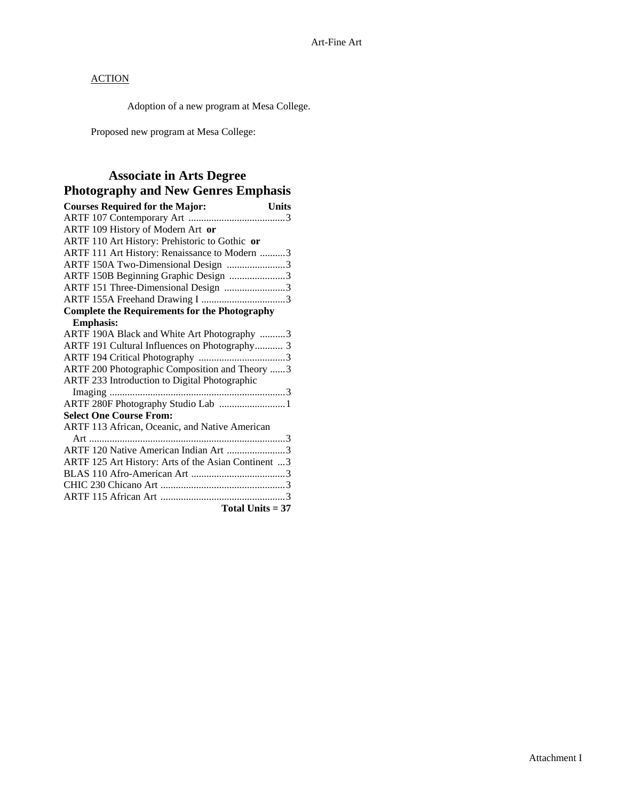Adoption of a new program at Mesa College.

Proposed new program at Mesa College:

### **Associate in Arts Degree Photography and New Genres Emphasis**

| <b>Courses Required for the Major:</b><br><b>Units</b> |  |
|--------------------------------------------------------|--|
|                                                        |  |
| ARTF 109 History of Modern Art or                      |  |
| ARTF 110 Art History: Prehistoric to Gothic or         |  |
| ARTF 111 Art History: Renaissance to Modern 3          |  |
| ARTF 150A Two-Dimensional Design 3                     |  |
| ARTF 150B Beginning Graphic Design 3                   |  |
| ARTF 151 Three-Dimensional Design 3                    |  |
|                                                        |  |
| <b>Complete the Requirements for the Photography</b>   |  |
| <b>Emphasis:</b>                                       |  |
| ARTF 190A Black and White Art Photography 3            |  |
| ARTF 191 Cultural Influences on Photography 3          |  |
|                                                        |  |
| ARTF 200 Photographic Composition and Theory 3         |  |
| ARTF 233 Introduction to Digital Photographic          |  |
|                                                        |  |
| ARTF 280F Photography Studio Lab 1                     |  |
| <b>Select One Course From:</b>                         |  |
| ARTF 113 African, Oceanic, and Native American         |  |
|                                                        |  |
| ARTF 120 Native American Indian Art 3                  |  |
| ARTF 125 Art History: Arts of the Asian Continent 3    |  |
|                                                        |  |
|                                                        |  |
|                                                        |  |
| Total Units $= 37$                                     |  |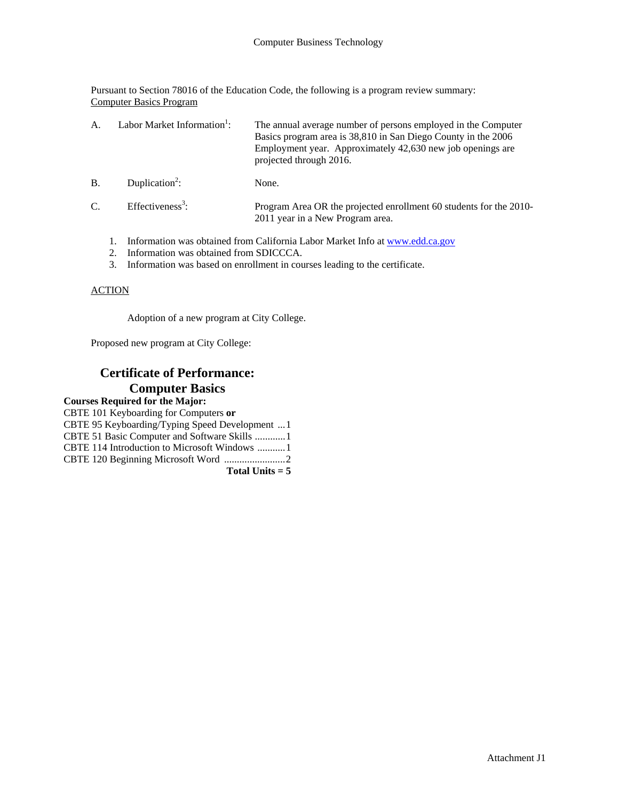Pursuant to Section 78016 of the Education Code, the following is a program review summary: Computer Basics Program

| A               | Labor Market Information <sup>1</sup> : | The annual average number of persons employed in the Computer<br>Basics program area is 38,810 in San Diego County in the 2006<br>Employment year. Approximately 42,630 new job openings are<br>projected through 2016. |
|-----------------|-----------------------------------------|-------------------------------------------------------------------------------------------------------------------------------------------------------------------------------------------------------------------------|
| B               | Duplication <sup>2</sup> :              | None.                                                                                                                                                                                                                   |
| $\mathcal{C}$ . | Effectiveness <sup>3</sup> :            | Program Area OR the projected enrollment 60 students for the 2010-<br>2011 year in a New Program area.                                                                                                                  |
|                 |                                         |                                                                                                                                                                                                                         |

- 1. Information was obtained from California Labor Market Info at www.edd.ca.gov
- 2. Information was obtained from SDICCCA.
- 3. Information was based on enrollment in courses leading to the certificate.

### ACTION

Adoption of a new program at City College.

Proposed new program at City College:

# **Certificate of Performance: Computer Basics**

| CBTE 101 Keyboarding for Computers or          |
|------------------------------------------------|
| CBTE 95 Keyboarding/Typing Speed Development 1 |
| CBTE 51 Basic Computer and Software Skills 1   |
| CBTE 114 Introduction to Microsoft Windows 1   |
|                                                |
| Total Units $= 5$                              |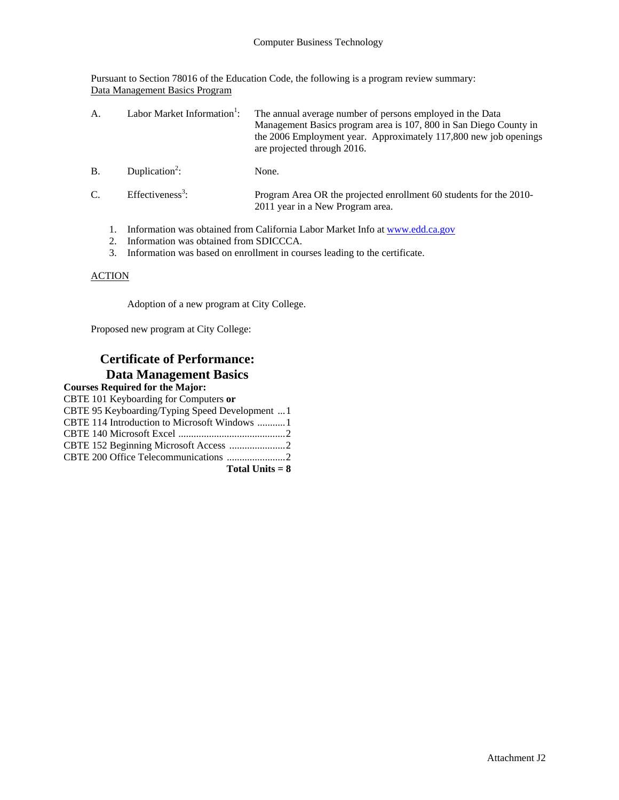Pursuant to Section 78016 of the Education Code, the following is a program review summary: Data Management Basics Program

| А.            | Labor Market Information <sup>1</sup> :                                      | The annual average number of persons employed in the Data<br>Management Basics program area is 107, 800 in San Diego County in<br>the 2006 Employment year. Approximately 117,800 new job openings<br>are projected through 2016. |
|---------------|------------------------------------------------------------------------------|-----------------------------------------------------------------------------------------------------------------------------------------------------------------------------------------------------------------------------------|
| B             | Duplication <sup>2</sup> :                                                   | None.                                                                                                                                                                                                                             |
| $\mathcal{C}$ | Effectiveness <sup>3</sup> :                                                 | Program Area OR the projected enrollment 60 students for the 2010-<br>2011 year in a New Program area.                                                                                                                            |
|               | Information was obtained from California Labor Market Info at www.edd.ca.gov |                                                                                                                                                                                                                                   |

- 2. Information was obtained from SDICCCA.
- 3. Information was based on enrollment in courses leading to the certificate.

### **ACTION**

Adoption of a new program at City College.

Proposed new program at City College:

## **Certificate of Performance: Data Management Basics**

| <b>Courses Required for the Major:</b>         |
|------------------------------------------------|
| CBTE 101 Keyboarding for Computers or          |
| CBTE 95 Keyboarding/Typing Speed Development 1 |
|                                                |
|                                                |
|                                                |
|                                                |
| Total Units $= 8$                              |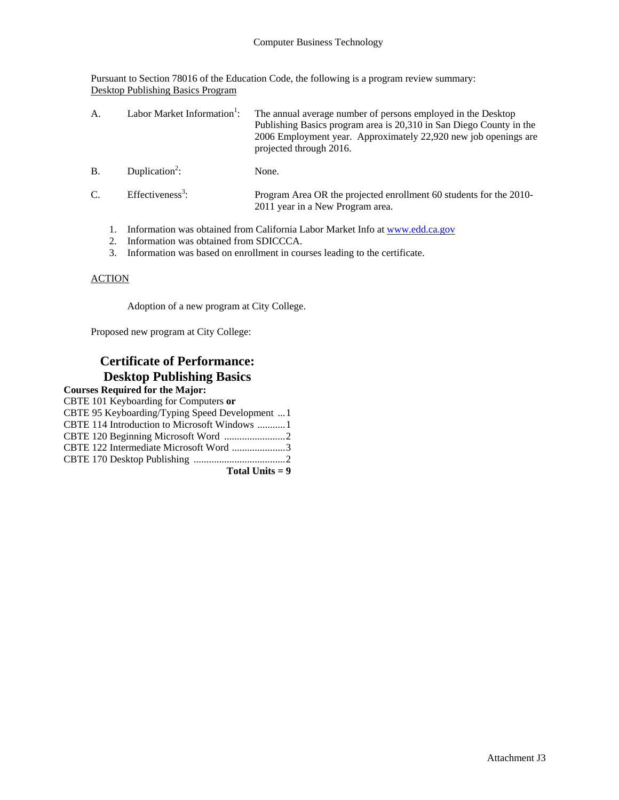Pursuant to Section 78016 of the Education Code, the following is a program review summary: Desktop Publishing Basics Program

| A.            | Labor Market Information <sup>1</sup> : | The annual average number of persons employed in the Desktop<br>Publishing Basics program area is 20,310 in San Diego County in the<br>2006 Employment year. Approximately 22,920 new job openings are<br>projected through 2016. |
|---------------|-----------------------------------------|-----------------------------------------------------------------------------------------------------------------------------------------------------------------------------------------------------------------------------------|
| B             | Duplication <sup>2</sup> :              | None.                                                                                                                                                                                                                             |
| $\mathcal{C}$ | Effectiveness <sup>3</sup> :            | Program Area OR the projected enrollment 60 students for the 2010-<br>2011 year in a New Program area.                                                                                                                            |
|               |                                         | Information was obtained from California Labor Market Info at www.edd.ca.gov                                                                                                                                                      |

- 2. Information was obtained from SDICCCA.
- 3. Information was based on enrollment in courses leading to the certificate.

### **ACTION**

Adoption of a new program at City College.

Proposed new program at City College:

## **Certificate of Performance: Desktop Publishing Basics**

| <b>Courses Required for the Major:</b>         |  |
|------------------------------------------------|--|
| CBTE 101 Keyboarding for Computers or          |  |
| CBTE 95 Keyboarding/Typing Speed Development 1 |  |
|                                                |  |
|                                                |  |
| CBTE 122 Intermediate Microsoft Word 3         |  |
|                                                |  |
| Total Units $= 9$                              |  |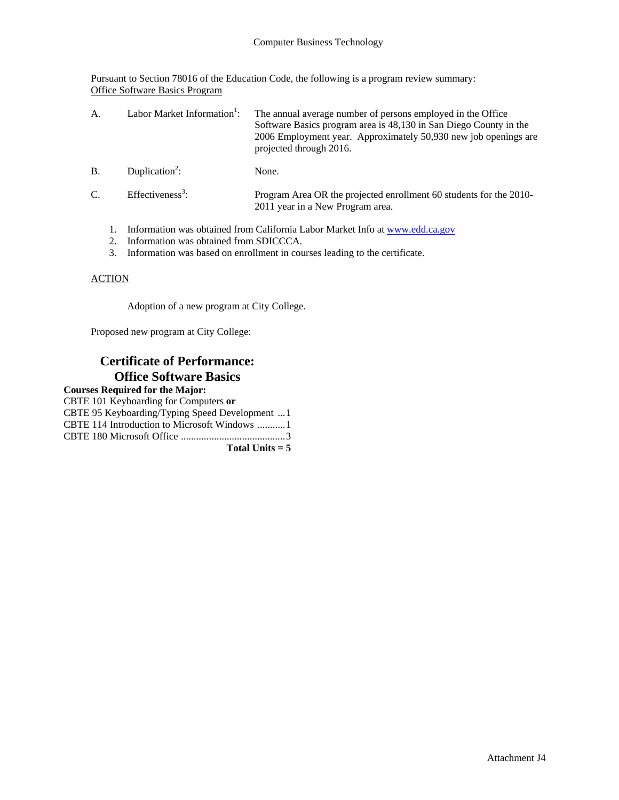Pursuant to Section 78016 of the Education Code, the following is a program review summary: Office Software Basics Program

| А.         | Labor Market Information <sup>1</sup> :                                      | The annual average number of persons employed in the Office<br>Software Basics program area is 48,130 in San Diego County in the<br>2006 Employment year. Approximately 50,930 new job openings are<br>projected through 2016. |
|------------|------------------------------------------------------------------------------|--------------------------------------------------------------------------------------------------------------------------------------------------------------------------------------------------------------------------------|
| <b>B</b> . | Duplication <sup>2</sup> :                                                   | None.                                                                                                                                                                                                                          |
| C.         | Effectiveness <sup>3</sup> :                                                 | Program Area OR the projected enrollment 60 students for the 2010-<br>2011 year in a New Program area.                                                                                                                         |
|            | Information was obtained from California Labor Market Info at www.edd.ca.gov |                                                                                                                                                                                                                                |

- 2. Information was obtained from SDICCCA.
- 3. Information was based on enrollment in courses leading to the certificate.

### **ACTION**

Adoption of a new program at City College.

Proposed new program at City College:

### **Certificate of Performance: Office Software Basics**

### **Courses Required for the Major:** CBTE 101 Keyboarding for Computers **or**

| Total Units $= 5$                              |
|------------------------------------------------|
|                                                |
| CBTE 114 Introduction to Microsoft Windows 1   |
| CBTE 95 Keyboarding/Typing Speed Development 1 |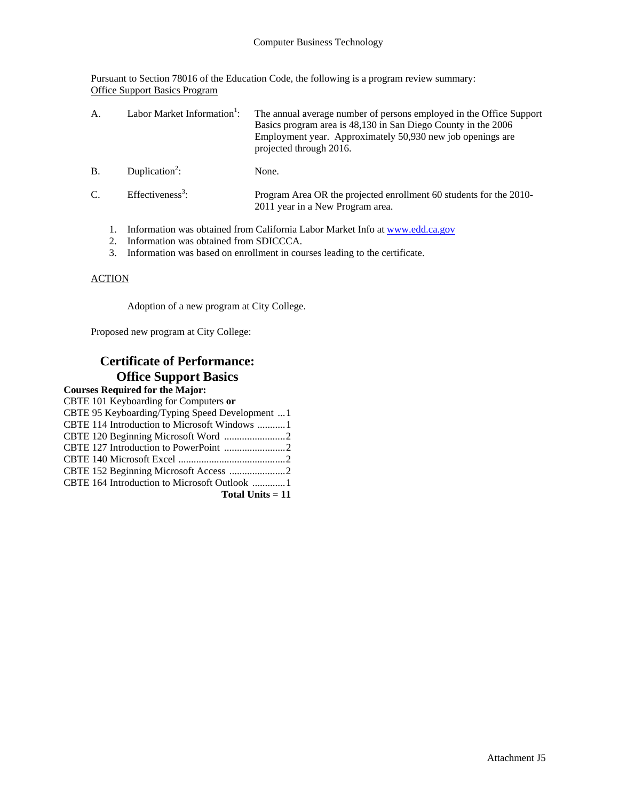Pursuant to Section 78016 of the Education Code, the following is a program review summary: Office Support Basics Program

| А.        |                                                                              | Labor Market Information <sup>1</sup> : | The annual average number of persons employed in the Office Support<br>Basics program area is 48,130 in San Diego County in the 2006<br>Employment year. Approximately 50,930 new job openings are<br>projected through 2016. |
|-----------|------------------------------------------------------------------------------|-----------------------------------------|-------------------------------------------------------------------------------------------------------------------------------------------------------------------------------------------------------------------------------|
| <b>B.</b> |                                                                              | Duplication <sup>2</sup> :              | None.                                                                                                                                                                                                                         |
| C.        |                                                                              | Effectiveness <sup>3</sup> :            | Program Area OR the projected enrollment 60 students for the 2010-<br>2011 year in a New Program area.                                                                                                                        |
|           | Information was obtained from California Labor Market Info at www.edd.ca.gov |                                         |                                                                                                                                                                                                                               |

- 2. Information was obtained from SDICCCA.
- 3. Information was based on enrollment in courses leading to the certificate.

### **ACTION**

Adoption of a new program at City College.

Proposed new program at City College:

## **Certificate of Performance: Office Support Basics**

#### **Courses Required for the Major:** CBTE 101 Keyboarding for Computers **or** CBTE 95 Keyboarding/Typing Speed Development ...1 CBTE 114 Introduction to Microsoft Windows ...........1 CBTE 120 Beginning Microsoft Word ........................2 CBTE 127 Introduction to PowerPoint ........................2 CBTE 140 Microsoft Excel ..........................................2 CBTE 152 Beginning Microsoft Access ......................2 CBTE 164 Introduction to Microsoft Outlook .............1 **Total Units = 11**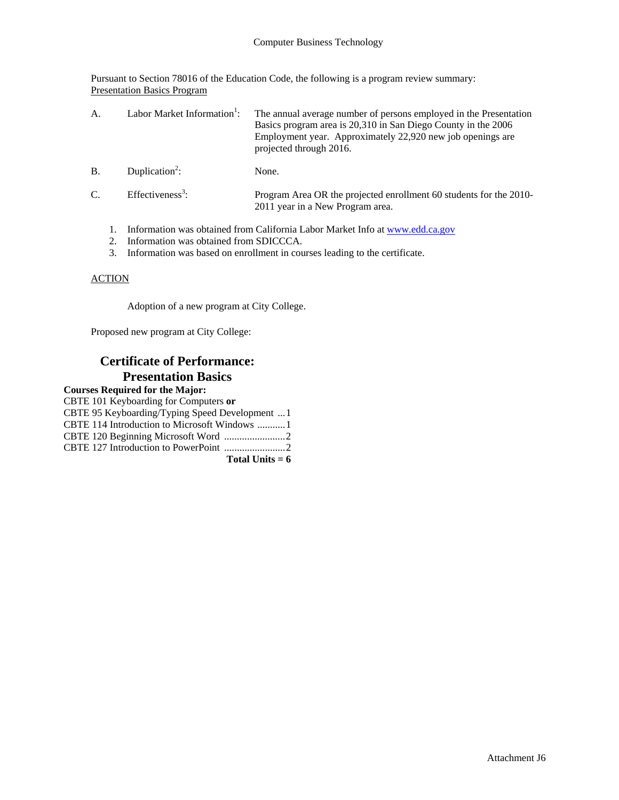Pursuant to Section 78016 of the Education Code, the following is a program review summary: Presentation Basics Program

| $\mathsf{A}$ . | Labor Market Information <sup>1</sup> : | The annual average number of persons employed in the Presentation<br>Basics program area is 20,310 in San Diego County in the 2006<br>Employment year. Approximately 22,920 new job openings are<br>projected through 2016. |
|----------------|-----------------------------------------|-----------------------------------------------------------------------------------------------------------------------------------------------------------------------------------------------------------------------------|
| <b>B.</b>      | Duplication <sup>2</sup> :              | None.                                                                                                                                                                                                                       |
| $C_{\cdot}$    | Effectiveness <sup>3</sup> :            | Program Area OR the projected enrollment 60 students for the 2010-<br>2011 year in a New Program area.                                                                                                                      |
|                |                                         | Information was obtained from California Labor Market Info at www.edd.ca.gov<br>$\alpha$                                                                                                                                    |

- 2. Information was obtained from SDICCCA.
- 3. Information was based on enrollment in courses leading to the certificate.

### **ACTION**

Adoption of a new program at City College.

Proposed new program at City College:

### **Certificate of Performance: Presentation Basics**

| Total Units $= 6$                              |
|------------------------------------------------|
|                                                |
|                                                |
| CBTE 114 Introduction to Microsoft Windows 1   |
| CBTE 95 Keyboarding/Typing Speed Development 1 |
| CBTE 101 Keyboarding for Computers or          |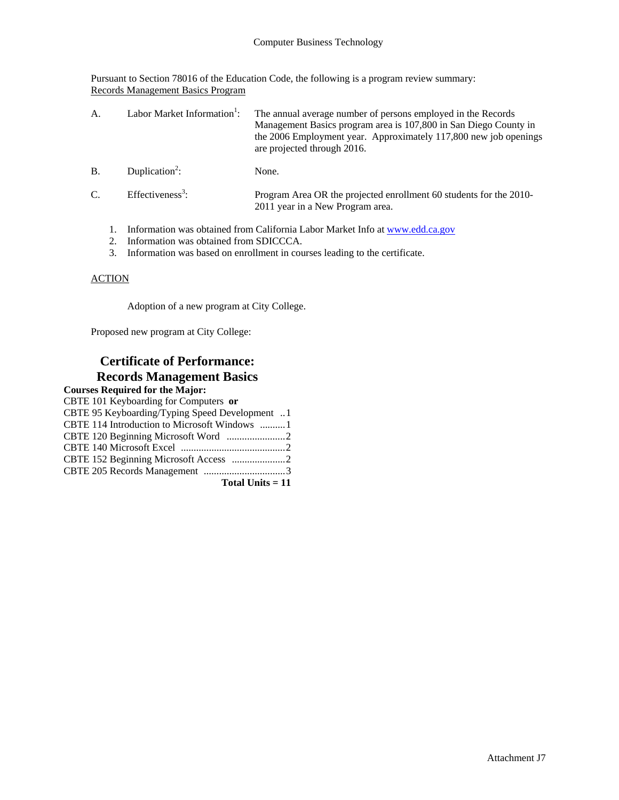Pursuant to Section 78016 of the Education Code, the following is a program review summary: Records Management Basics Program

| А.              | Labor Market Information <sup>1</sup> : | The annual average number of persons employed in the Records<br>Management Basics program area is 107,800 in San Diego County in<br>the 2006 Employment year. Approximately 117,800 new job openings<br>are projected through 2016. |
|-----------------|-----------------------------------------|-------------------------------------------------------------------------------------------------------------------------------------------------------------------------------------------------------------------------------------|
| B               | Duplication <sup>2</sup> :              | None.                                                                                                                                                                                                                               |
| $\mathcal{C}$ . | $Effectiveness3$ :                      | Program Area OR the projected enrollment 60 students for the 2010-<br>2011 year in a New Program area.                                                                                                                              |

- 1. Information was obtained from California Labor Market Info at www.edd.ca.gov
- 2. Information was obtained from SDICCCA.
- 3. Information was based on enrollment in courses leading to the certificate.

### **ACTION**

Adoption of a new program at City College.

Proposed new program at City College:

### **Certificate of Performance: Records Management Basics**

#### **Courses Required for the Major:** CBTE 101 Keyboarding for Computers **or** CBTE 95 Keyboarding/Typing Speed Development ..1 CBTE 114 Introduction to Microsoft Windows ..........1 CBTE 120 Beginning Microsoft Word .......................2 CBTE 140 Microsoft Excel .........................................2 CBTE 152 Beginning Microsoft Access .....................2 CBTE 205 Records Management ................................3 **Total Units = 11**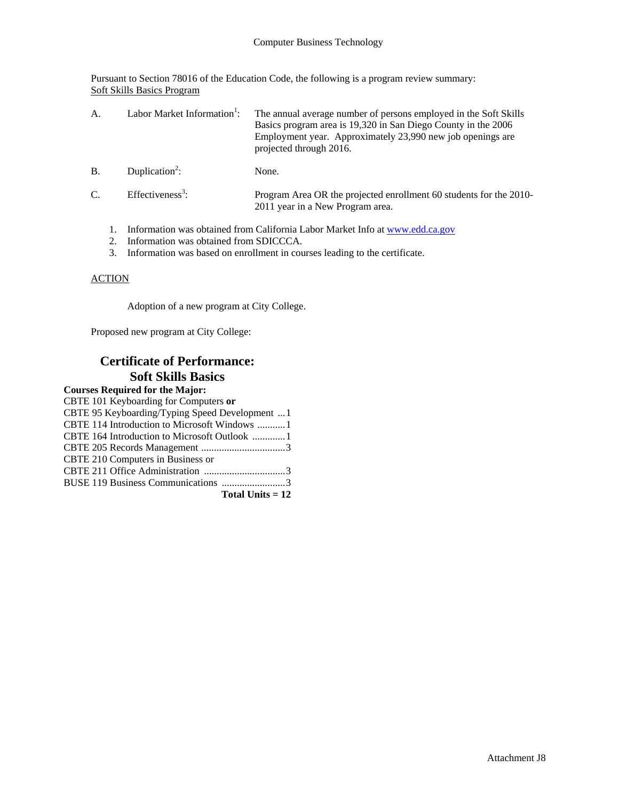Pursuant to Section 78016 of the Education Code, the following is a program review summary: Soft Skills Basics Program

| A.          | Labor Market Information <sup>1</sup> : | The annual average number of persons employed in the Soft Skills<br>Basics program area is 19,320 in San Diego County in the 2006<br>Employment year. Approximately 23,990 new job openings are<br>projected through 2016. |
|-------------|-----------------------------------------|----------------------------------------------------------------------------------------------------------------------------------------------------------------------------------------------------------------------------|
| B.          | Duplication <sup>2</sup> :              | None.                                                                                                                                                                                                                      |
| $C_{\cdot}$ | Effectiveness <sup>3</sup> :            | Program Area OR the projected enrollment 60 students for the 2010-<br>2011 year in a New Program area.                                                                                                                     |
|             |                                         | Information was obtained from California Labor Market Info at www.edd.ca.gov                                                                                                                                               |

- 2. Information was obtained from SDICCCA.
- 3. Information was based on enrollment in courses leading to the certificate.

### **ACTION**

Adoption of a new program at City College.

Proposed new program at City College:

## **Certificate of Performance: Soft Skills Basics**

| CBTE 101 Keyboarding for Computers or           |
|-------------------------------------------------|
| CBTE 95 Keyboarding/Typing Speed Development  1 |
| CBTE 114 Introduction to Microsoft Windows 1    |
|                                                 |
|                                                 |
| CBTE 210 Computers in Business or               |
|                                                 |
| BUSE 119 Business Communications 3              |
| Total Units $= 12$                              |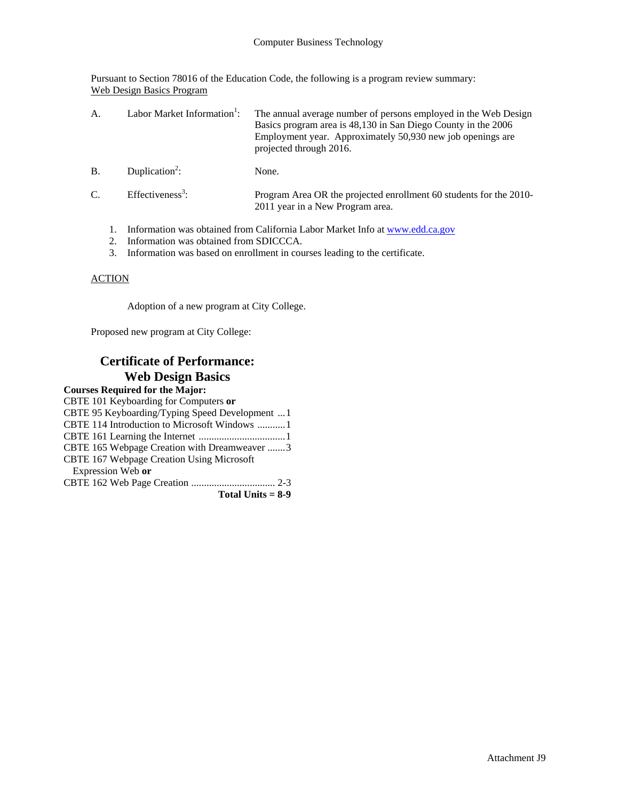Pursuant to Section 78016 of the Education Code, the following is a program review summary: Web Design Basics Program

| $\mathsf{A}$ . | Labor Market Information <sup>1</sup> : | The annual average number of persons employed in the Web Design<br>Basics program area is 48,130 in San Diego County in the 2006<br>Employment year. Approximately 50,930 new job openings are<br>projected through 2016. |
|----------------|-----------------------------------------|---------------------------------------------------------------------------------------------------------------------------------------------------------------------------------------------------------------------------|
| <b>B.</b>      | Duplication <sup>2</sup> :              | None.                                                                                                                                                                                                                     |
| $C_{\cdot}$    | Effectiveness <sup>3</sup> :            | Program Area OR the projected enrollment 60 students for the 2010-<br>2011 year in a New Program area.                                                                                                                    |
|                |                                         | Information was obtained from California Labor Market Info at www.edd.ca.gov                                                                                                                                              |

- 2. Information was obtained from SDICCCA.
- 3. Information was based on enrollment in courses leading to the certificate.

### **ACTION**

Adoption of a new program at City College.

Proposed new program at City College:

### **Certificate of Performance: Web Design Basics**

| CBTE 101 Keyboarding for Computers or          |
|------------------------------------------------|
| CBTE 95 Keyboarding/Typing Speed Development 1 |
| CBTE 114 Introduction to Microsoft Windows 1   |
|                                                |
| CBTE 165 Webpage Creation with Dreamweaver 3   |
| CBTE 167 Webpage Creation Using Microsoft      |
| Expression Web or                              |
|                                                |
| Total Units $= 8-9$                            |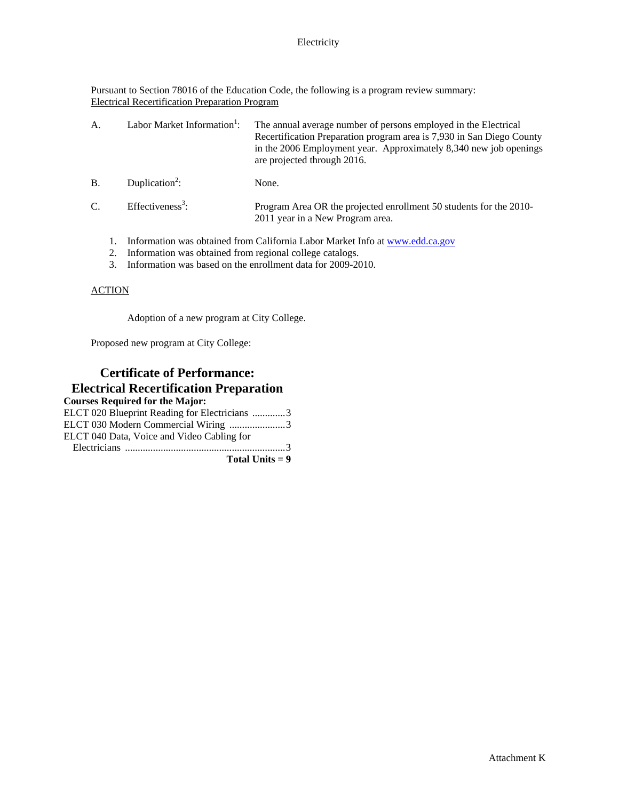Pursuant to Section 78016 of the Education Code, the following is a program review summary: Electrical Recertification Preparation Program

| А. | Labor Market Information <sup>1</sup> : | The annual average number of persons employed in the Electrical<br>Recertification Preparation program area is 7,930 in San Diego County<br>in the 2006 Employment year. Approximately 8,340 new job openings<br>are projected through 2016. |
|----|-----------------------------------------|----------------------------------------------------------------------------------------------------------------------------------------------------------------------------------------------------------------------------------------------|
| B. | Duplication <sup>2</sup> :              | None.                                                                                                                                                                                                                                        |
| C. | Effectiveness <sup>3</sup> :            | Program Area OR the projected enrollment 50 students for the 2010-<br>2011 year in a New Program area.                                                                                                                                       |
|    |                                         | Information was obtained from California Labor Market Info at www.edd.ca.gov                                                                                                                                                                 |

- 2. Information was obtained from regional college catalogs.
- 3. Information was based on the enrollment data for 2009-2010.

### ACTION

Adoption of a new program at City College.

Proposed new program at City College:

## **Certificate of Performance: Electrical Recertification Preparation**

| ELCT 020 Blueprint Reading for Electricians 3 |
|-----------------------------------------------|
| ELCT 030 Modern Commercial Wiring 3           |
| ELCT 040 Data, Voice and Video Cabling for    |
|                                               |
| Total Units $= 9$                             |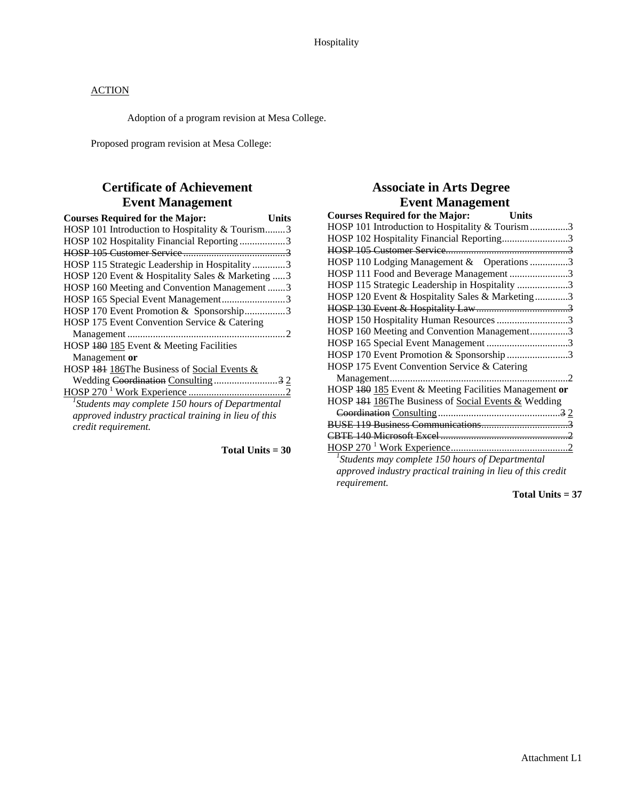Adoption of a program revision at Mesa College.

Proposed program revision at Mesa College:

# **Certificate of Achievement Event Management**

| <b>Courses Required for the Major:</b><br>Units          |
|----------------------------------------------------------|
| HOSP 101 Introduction to Hospitality & Tourism3          |
| HOSP 102 Hospitality Financial Reporting 3               |
|                                                          |
| HOSP 115 Strategic Leadership in Hospitality 3           |
| HOSP 120 Event & Hospitality Sales & Marketing  3        |
| HOSP 160 Meeting and Convention Management 3             |
| HOSP 165 Special Event Management3                       |
| HOSP 170 Event Promotion & Sponsorship3                  |
| HOSP 175 Event Convention Service & Catering             |
|                                                          |
| HOSP 180 185 Event & Meeting Facilities                  |
| Management or                                            |
| HOSP 181 186The Business of Social Events &              |
|                                                          |
|                                                          |
| ${}^{1}$ Students may complete 150 hours of Departmental |
| approved industry practical training in lieu of this     |
| credit requirement.                                      |
|                                                          |

**Total Units = 30** 

# **Associate in Arts Degree Event Management**

| <b>Courses Required for the Major:</b><br><b>Units</b>      |  |
|-------------------------------------------------------------|--|
| HOSP 101 Introduction to Hospitality & Tourism3             |  |
| HOSP 102 Hospitality Financial Reporting3                   |  |
|                                                             |  |
| HOSP 110 Lodging Management & Operations 3                  |  |
| HOSP 111 Food and Beverage Management 3                     |  |
| HOSP 115 Strategic Leadership in Hospitality 3              |  |
| HOSP 120 Event & Hospitality Sales & Marketing3             |  |
|                                                             |  |
| HOSP 150 Hospitality Human Resources 3                      |  |
| HOSP 160 Meeting and Convention Management3                 |  |
| HOSP 165 Special Event Management 3                         |  |
| HOSP 170 Event Promotion & Sponsorship3                     |  |
| HOSP 175 Event Convention Service & Catering                |  |
| Management<br>$\overline{2}$                                |  |
| HOSP 180 185 Event & Meeting Facilities Management or       |  |
| HOSP 181 186The Business of Social Events & Wedding         |  |
|                                                             |  |
|                                                             |  |
|                                                             |  |
|                                                             |  |
| $^1$ Students may complete 150 hours of Departmental        |  |
| approved industry practical training in lieu of this credit |  |
| requirement.                                                |  |

**Total Units = 37**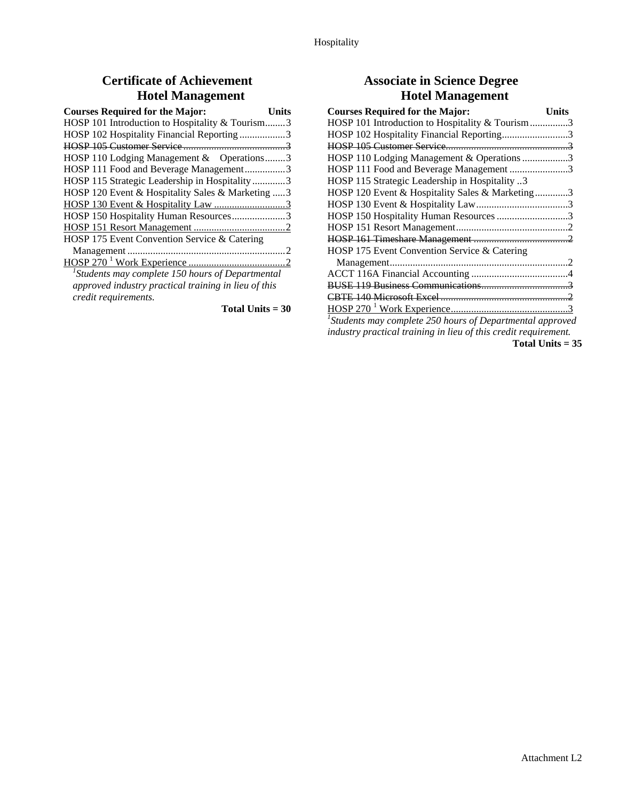# **Certificate of Achievement Hotel Management**

| <b>Courses Required for the Major:</b><br>Units     |
|-----------------------------------------------------|
| HOSP 101 Introduction to Hospitality & Tourism3     |
| HOSP 102 Hospitality Financial Reporting3           |
|                                                     |
| HOSP 110 Lodging Management & Operations3           |
| HOSP 111 Food and Beverage Management3              |
| HOSP 115 Strategic Leadership in Hospitality3       |
| HOSP 120 Event & Hospitality Sales & Marketing  3   |
|                                                     |
| HOSP 150 Hospitality Human Resources3               |
|                                                     |
| HOSP 175 Event Convention Service & Catering        |
|                                                     |
|                                                     |
| $1$ Students may complete 150 hours of Departmental |

*approved industry practical training in lieu of this credit requirements.* 

**Total Units = 30** 

# **Associate in Science Degree Hotel Management**

| <b>Courses Required for the Major:</b>                       | Units |
|--------------------------------------------------------------|-------|
| HOSP 101 Introduction to Hospitality & Tourism 3             |       |
| HOSP 102 Hospitality Financial Reporting3                    |       |
|                                                              |       |
| HOSP 110 Lodging Management & Operations 3                   |       |
| HOSP 111 Food and Beverage Management 3                      |       |
| HOSP 115 Strategic Leadership in Hospitality 3               |       |
| HOSP 120 Event & Hospitality Sales & Marketing3              |       |
|                                                              |       |
| HOSP 150 Hospitality Human Resources 3                       |       |
|                                                              |       |
|                                                              |       |
| HOSP 175 Event Convention Service & Catering                 |       |
|                                                              |       |
|                                                              |       |
|                                                              |       |
|                                                              |       |
|                                                              |       |
| $1$ Students may complete 250 hours of Departmental approved |       |

*industry practical training in lieu of this credit requirement.* 

**Total Units = 35**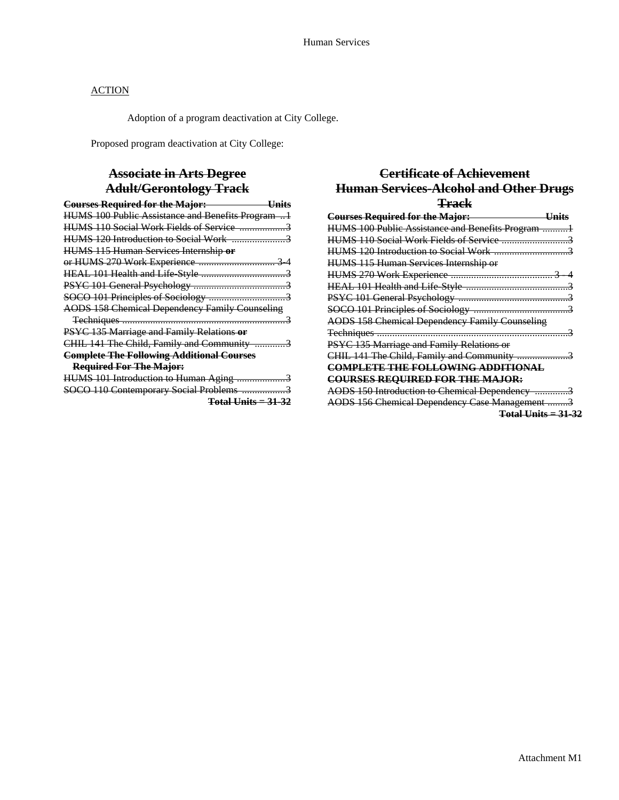Adoption of a program deactivation at City College.

Proposed program deactivation at City College:

## **Associate in Arts Degree Adult/Gerontology Track**

| <b>Courses Required for the Major:</b><br><u>Units</u> |
|--------------------------------------------------------|
| HUMS 100 Public Assistance and Benefits Program 1      |
|                                                        |
| HUMS 120 Introduction to Social Work 3                 |
| HUMS 115 Human Services Internship or                  |
| or HUMS 270 Work Experience  3 4                       |
|                                                        |
|                                                        |
|                                                        |
| <b>AODS 158 Chemical Dependency Family Counseling</b>  |
|                                                        |
| PSYC 135 Marriage and Family Relations or              |
| CHIL 141 The Child, Family and Community 3             |
| <b>Complete The Following Additional Courses</b>       |
| <b>Required For The Major:</b>                         |
| HUMS 101 Introduction to Human Aging 3                 |
| SOCO 110 Contemporary Social Problems 3                |
|                                                        |

#### **Total Units = 31-32**

## **Certificate of Achievement Human Services-Alcohol and Other Drugs Track**

| <b>Courses Required for the Major:</b><br><u>Units</u> |
|--------------------------------------------------------|
| HUMS 100 Public Assistance and Benefits Program 1      |
| HUMS 110 Social Work Fields of Service 3               |
|                                                        |
| <b>HUMS 115 Human Services Internship or</b>           |
|                                                        |
|                                                        |
|                                                        |
|                                                        |
| <b>AODS 158 Chemical Dependency Family Counseling</b>  |
|                                                        |
| PSYC 135 Marriage and Family Relations or              |
| CHIL 141 The Child, Family and Community 3             |
| <b>COMPLETE THE FOLLOWING ADDITIONAL</b>               |
| <b>COURSES REQUIRED FOR THE MAJOR:</b>                 |
| AODS 150 Introduction to Chemical Dependency 3         |
| AODS 156 Chemical Dependency Case Management 3         |
| $Total Units = 31-32$                                  |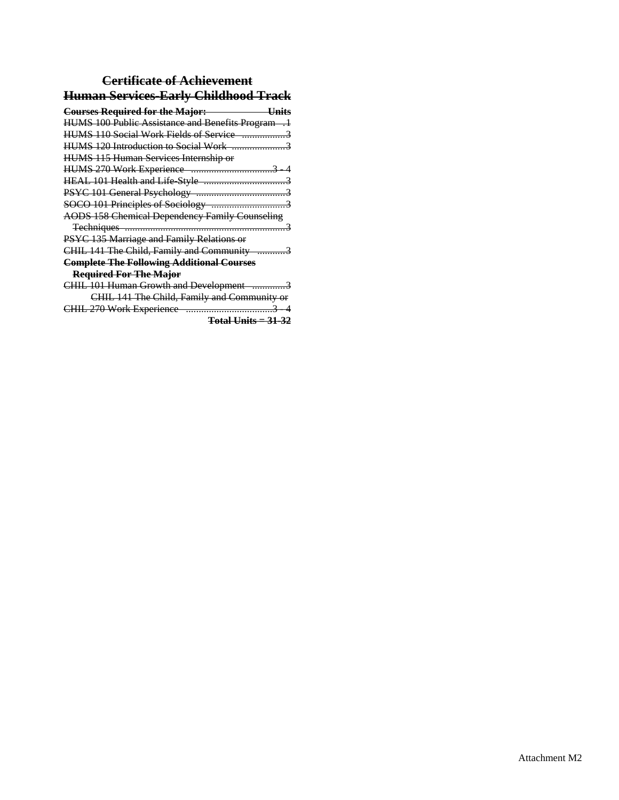# **Certificate of Achievement Human Services-Early Childhood Track**

| <b>Courses Required for the Major:</b><br>Units       |
|-------------------------------------------------------|
| HUMS 100 Public Assistance and Benefits Program .1    |
|                                                       |
|                                                       |
| <b>HUMS 115 Human Services Internship or</b>          |
|                                                       |
|                                                       |
|                                                       |
|                                                       |
| <b>AODS 158 Chemical Dependency Family Counseling</b> |
|                                                       |
| PSYC 135 Marriage and Family Relations or             |
| CHIL 141 The Child, Family and Community 3            |
| <b>Complete The Following Additional Courses</b>      |
| <b>Required For The Major</b>                         |
| CHIL 101 Human Growth and Development 3               |
| CHIL 141 The Child, Family and Community or           |
|                                                       |
| <del>Total Units = 31-32</del>                        |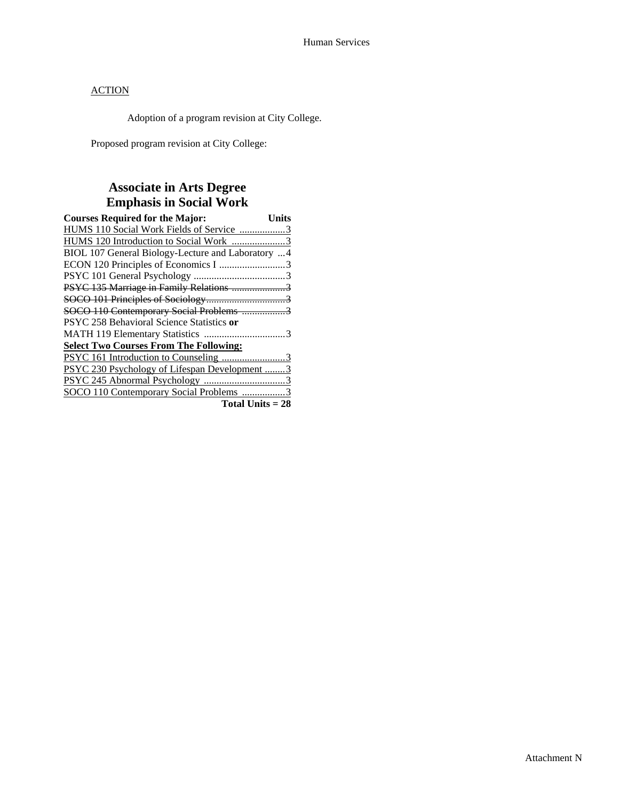Adoption of a program revision at City College.

Proposed program revision at City College:

# **Associate in Arts Degree Emphasis in Social Work**

| <b>Courses Required for the Major:</b><br><b>Units</b> |
|--------------------------------------------------------|
| HUMS 110 Social Work Fields of Service 3               |
|                                                        |
| BIOL 107 General Biology-Lecture and Laboratory 4      |
|                                                        |
|                                                        |
| PSYC 135 Marriage in Family Relations 3                |
|                                                        |
| SOCO 110 Contemporary Social Problems 3                |
| PSYC 258 Behavioral Science Statistics or              |
|                                                        |
| <b>Select Two Courses From The Following:</b>          |
| PSYC 161 Introduction to Counseling 3                  |
| PSYC 230 Psychology of Lifespan Development 3          |
|                                                        |
| SOCO 110 Contemporary Social Problems 3                |
| Total Units $= 28$                                     |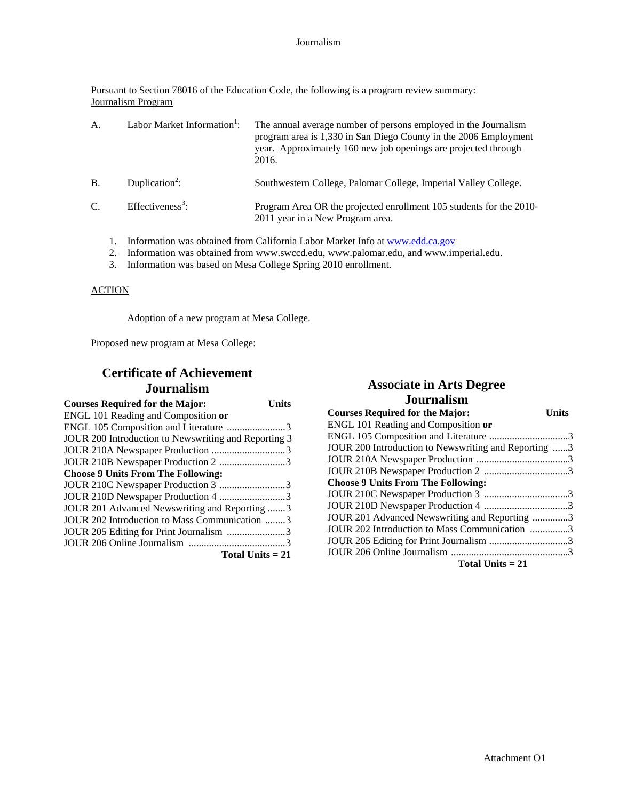Pursuant to Section 78016 of the Education Code, the following is a program review summary: Journalism Program

| $\mathsf{A}$ . | Labor Market Information <sup>1</sup> : | The annual average number of persons employed in the Journalism<br>program area is 1,330 in San Diego County in the 2006 Employment<br>year. Approximately 160 new job openings are projected through<br>2016.                                                               |
|----------------|-----------------------------------------|------------------------------------------------------------------------------------------------------------------------------------------------------------------------------------------------------------------------------------------------------------------------------|
| <b>B.</b>      | Duplication <sup>2</sup> :              | Southwestern College, Palomar College, Imperial Valley College.                                                                                                                                                                                                              |
| $C_{\cdot}$    | Effectiveness <sup>3</sup> :            | Program Area OR the projected enrollment 105 students for the 2010-<br>2011 year in a New Program area.                                                                                                                                                                      |
|                |                                         | $\mathbf{1}$ if $\mathbf{1}$ is the contract of $\mathbf{1}$ if $\mathbf{1}$ is the contract of $\mathbf{1}$ if $\mathbf{1}$ is the contract of $\mathbf{1}$ if $\mathbf{1}$ is the contract of $\mathbf{1}$ if $\mathbf{1}$ is the contract of $\mathbf{1}$ if $\mathbf{1}$ |

- 1. Information was obtained from California Labor Market Info at www.edd.ca.gov
- 2. Information was obtained from www.swccd.edu, www.palomar.edu, and www.imperial.edu.
- 3. Information was based on Mesa College Spring 2010 enrollment.

### ACTION

Adoption of a new program at Mesa College.

Proposed new program at Mesa College:

## **Certificate of Achievement Journalism**

| <b>Courses Required for the Major:</b><br>Units      |
|------------------------------------------------------|
| ENGL 101 Reading and Composition or                  |
| ENGL 105 Composition and Literature 3                |
| JOUR 200 Introduction to Newswriting and Reporting 3 |
|                                                      |
| JOUR 210B Newspaper Production 2 3                   |
| <b>Choose 9 Units From The Following:</b>            |
| JOUR 210C Newspaper Production 3 3                   |
| JOUR 210D Newspaper Production 4 3                   |
| JOUR 201 Advanced Newswriting and Reporting 3        |
| JOUR 202 Introduction to Mass Communication 3        |
|                                                      |
|                                                      |
| Total Units $= 21$                                   |

### **Associate in Arts Degree Journalism**

| <b>Courses Required for the Major:</b>               | <b>Units</b> |
|------------------------------------------------------|--------------|
| ENGL 101 Reading and Composition or                  |              |
|                                                      |              |
| JOUR 200 Introduction to Newswriting and Reporting 3 |              |
|                                                      |              |
|                                                      |              |
| <b>Choose 9 Units From The Following:</b>            |              |
|                                                      |              |
|                                                      |              |
| JOUR 201 Advanced Newswriting and Reporting 3        |              |
| JOUR 202 Introduction to Mass Communication 3        |              |
|                                                      |              |
|                                                      |              |
| $T = 1$ in $T = 2$                                   |              |

**Total Units = 21**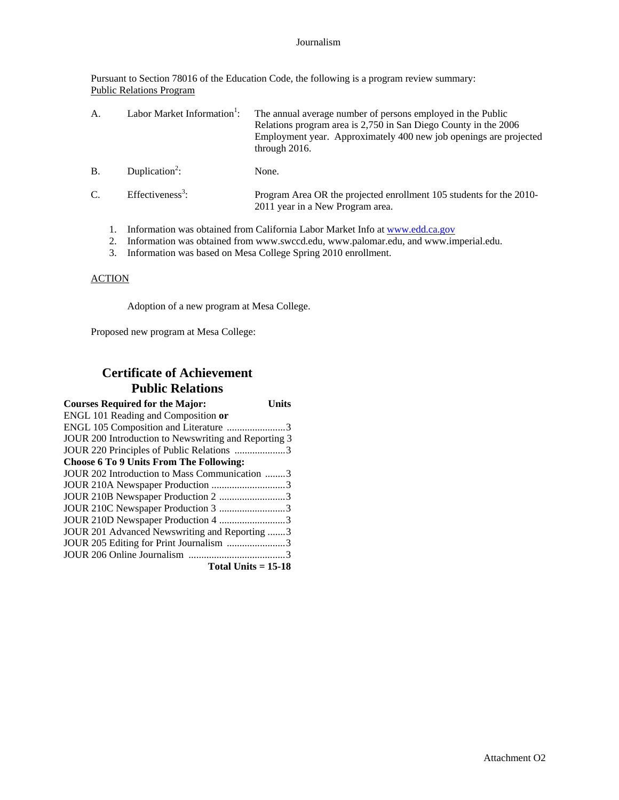#### Journalism

Pursuant to Section 78016 of the Education Code, the following is a program review summary: Public Relations Program

| А.          |  | Labor Market Information <sup>1</sup> : | The annual average number of persons employed in the Public<br>Relations program area is 2,750 in San Diego County in the 2006<br>Employment year. Approximately 400 new job openings are projected<br>through $2016$ . |
|-------------|--|-----------------------------------------|-------------------------------------------------------------------------------------------------------------------------------------------------------------------------------------------------------------------------|
| <b>B.</b>   |  | Duplication <sup>2</sup> :              | None.                                                                                                                                                                                                                   |
| $C_{\cdot}$ |  | Effectiveness <sup>3</sup> :            | Program Area OR the projected enrollment 105 students for the 2010-<br>2011 year in a New Program area.                                                                                                                 |
|             |  |                                         | Information was obtained from California Labor Market Info at www.edd.ca.gov                                                                                                                                            |

- 2. Information was obtained from www.swccd.edu, www.palomar.edu, and www.imperial.edu.
- 3. Information was based on Mesa College Spring 2010 enrollment.

### **ACTION**

Adoption of a new program at Mesa College.

Proposed new program at Mesa College:

# **Certificate of Achievement Public Relations**

| <b>Courses Required for the Major:</b><br>Units      |  |
|------------------------------------------------------|--|
| ENGL 101 Reading and Composition or                  |  |
| ENGL 105 Composition and Literature 3                |  |
| JOUR 200 Introduction to Newswriting and Reporting 3 |  |
| JOUR 220 Principles of Public Relations 3            |  |
| <b>Choose 6 To 9 Units From The Following:</b>       |  |
| JOUR 202 Introduction to Mass Communication 3        |  |
| JOUR 210A Newspaper Production 3                     |  |
| JOUR 210B Newspaper Production 2 3                   |  |
| JOUR 210C Newspaper Production 3 3                   |  |
| JOUR 210D Newspaper Production 4 3                   |  |
| JOUR 201 Advanced Newswriting and Reporting 3        |  |
|                                                      |  |
|                                                      |  |
| Total Units $= 15-18$                                |  |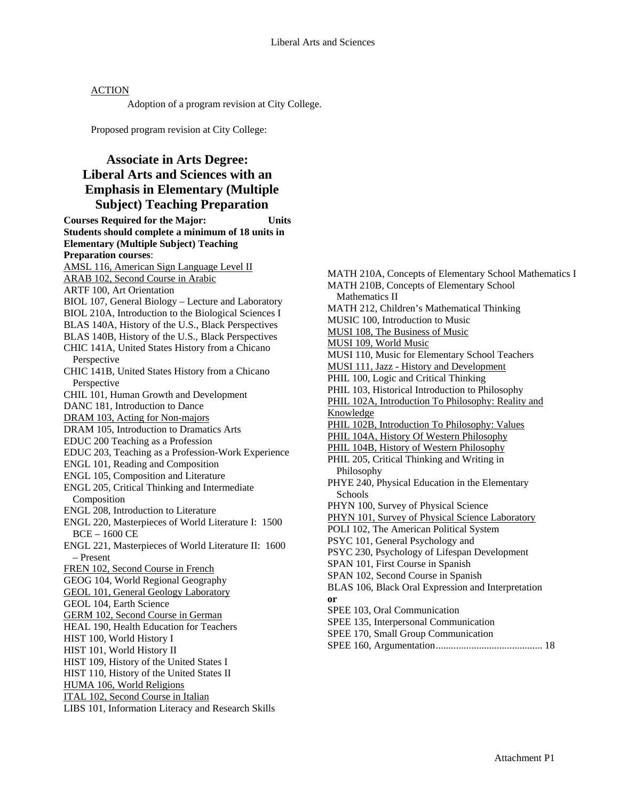Adoption of a program revision at City College.

Proposed program revision at City College:

## **Associate in Arts Degree: Liberal Arts and Sciences with an Emphasis in Elementary (Multiple Subject) Teaching Preparation**

**Courses Required for the Major: Units Students should complete a minimum of 18 units in Elementary (Multiple Subject) Teaching Preparation courses**: AMSL 116, American Sign Language Level II ARAB 102, Second Course in Arabic ARTF 100, Art Orientation BIOL 107, General Biology – Lecture and Laboratory BIOL 210A, Introduction to the Biological Sciences I BLAS 140A, History of the U.S., Black Perspectives BLAS 140B, History of the U.S., Black Perspectives CHIC 141A, United States History from a Chicano Perspective CHIC 141B, United States History from a Chicano Perspective CHIL 101, Human Growth and Development DANC 181, Introduction to Dance DRAM 103, Acting for Non-majors DRAM 105, Introduction to Dramatics Arts EDUC 200 Teaching as a Profession EDUC 203, Teaching as a Profession-Work Experience ENGL 101, Reading and Composition ENGL 105, Composition and Literature ENGL 205, Critical Thinking and Intermediate Composition ENGL 208, Introduction to Literature ENGL 220, Masterpieces of World Literature I: 1500 BCE – 1600 CE ENGL 221, Masterpieces of World Literature II: 1600 – Present FREN 102, Second Course in French GEOG 104, World Regional Geography GEOL 101, General Geology Laboratory GEOL 104, Earth Science GERM 102, Second Course in German HEAL 190, Health Education for Teachers HIST 100, World History I HIST 101, World History II HIST 109, History of the United States I HIST 110, History of the United States II HUMA 106, World Religions ITAL 102, Second Course in Italian LIBS 101, Information Literacy and Research Skills

MATH 210A, Concepts of Elementary School Mathematics I MATH 210B, Concepts of Elementary School Mathematics II MATH 212, Children's Mathematical Thinking MUSIC 100, Introduction to Music MUSI 108, The Business of Music MUSI 109, World Music MUSI 110, Music for Elementary School Teachers MUSI 111, Jazz - History and Development PHIL 100, Logic and Critical Thinking PHIL 103, Historical Introduction to Philosophy PHIL 102A, Introduction To Philosophy: Reality and Knowledge PHIL 102B, Introduction To Philosophy: Values PHIL 104A, History Of Western Philosophy PHIL 104B, History of Western Philosophy PHIL 205, Critical Thinking and Writing in Philosophy PHYE 240, Physical Education in the Elementary Schools PHYN 100, Survey of Physical Science PHYN 101, Survey of Physical Science Laboratory POLI 102, The American Political System PSYC 101, General Psychology and PSYC 230, Psychology of Lifespan Development SPAN 101, First Course in Spanish SPAN 102, Second Course in Spanish BLAS 106, Black Oral Expression and Interpretation **or** SPEE 103, Oral Communication SPEE 135, Interpersonal Communication SPEE 170, Small Group Communication SPEE 160, Argumentation.......................................... 18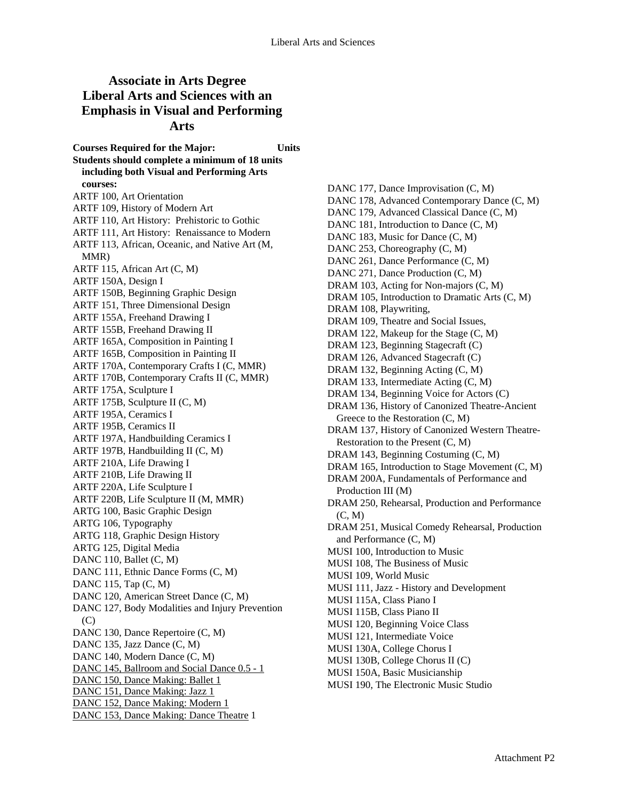## **Associate in Arts Degree Liberal Arts and Sciences with an Emphasis in Visual and Performing Arts**

**Courses Required for the Major: Units Students should complete a minimum of 18 units including both Visual and Performing Arts courses:**  ARTF 100, Art Orientation ARTF 109, History of Modern Art ARTF 110, Art History: Prehistoric to Gothic ARTF 111, Art History: Renaissance to Modern ARTF 113, African, Oceanic, and Native Art (M, MMR) ARTF 115, African Art (C, M) ARTF 150A, Design I ARTF 150B, Beginning Graphic Design ARTF 151, Three Dimensional Design ARTF 155A, Freehand Drawing I ARTF 155B, Freehand Drawing II ARTF 165A, Composition in Painting I ARTF 165B, Composition in Painting II ARTF 170A, Contemporary Crafts I (C, MMR) ARTF 170B, Contemporary Crafts II (C, MMR) ARTF 175A, Sculpture I ARTF 175B, Sculpture II (C, M) ARTF 195A, Ceramics I ARTF 195B, Ceramics II ARTF 197A, Handbuilding Ceramics I ARTF 197B, Handbuilding II (C, M) ARTF 210A, Life Drawing I ARTF 210B, Life Drawing II ARTF 220A, Life Sculpture I ARTF 220B, Life Sculpture II (M, MMR) ARTG 100, Basic Graphic Design ARTG 106, Typography ARTG 118, Graphic Design History ARTG 125, Digital Media DANC 110, Ballet (C, M) DANC 111, Ethnic Dance Forms (C, M) DANC 115, Tap (C, M) DANC 120, American Street Dance (C, M) DANC 127, Body Modalities and Injury Prevention  $(C)$ DANC 130, Dance Repertoire (C, M) DANC 135, Jazz Dance (C, M) DANC 140, Modern Dance (C, M) DANC 145, Ballroom and Social Dance 0.5 - 1 DANC 150, Dance Making: Ballet 1 DANC 151, Dance Making: Jazz 1 DANC 152, Dance Making: Modern 1 DANC 153, Dance Making: Dance Theatre 1

DANC 177, Dance Improvisation  $(C, M)$ DANC 178, Advanced Contemporary Dance (C, M) DANC 179, Advanced Classical Dance (C, M) DANC 181, Introduction to Dance  $(C, M)$ DANC 183, Music for Dance  $(C, M)$ DANC 253, Choreography (C, M) DANC 261, Dance Performance (C, M) DANC 271, Dance Production (C, M) DRAM 103, Acting for Non-majors (C, M) DRAM 105, Introduction to Dramatic Arts (C, M) DRAM 108, Playwriting, DRAM 109, Theatre and Social Issues, DRAM 122, Makeup for the Stage  $(C, M)$ DRAM 123, Beginning Stagecraft (C) DRAM 126, Advanced Stagecraft (C) DRAM 132, Beginning Acting (C, M) DRAM 133, Intermediate Acting (C, M) DRAM 134, Beginning Voice for Actors (C) DRAM 136, History of Canonized Theatre-Ancient Greece to the Restoration (C, M) DRAM 137, History of Canonized Western Theatre-Restoration to the Present (C, M) DRAM 143, Beginning Costuming (C, M) DRAM 165, Introduction to Stage Movement (C, M) DRAM 200A, Fundamentals of Performance and Production III (M) DRAM 250, Rehearsal, Production and Performance (C, M) DRAM 251, Musical Comedy Rehearsal, Production and Performance (C, M) MUSI 100, Introduction to Music MUSI 108, The Business of Music MUSI 109, World Music MUSI 111, Jazz - History and Development MUSI 115A, Class Piano I MUSI 115B, Class Piano II MUSI 120, Beginning Voice Class MUSI 121, Intermediate Voice MUSI 130A, College Chorus I MUSI 130B, College Chorus II (C) MUSI 150A, Basic Musicianship MUSI 190, The Electronic Music Studio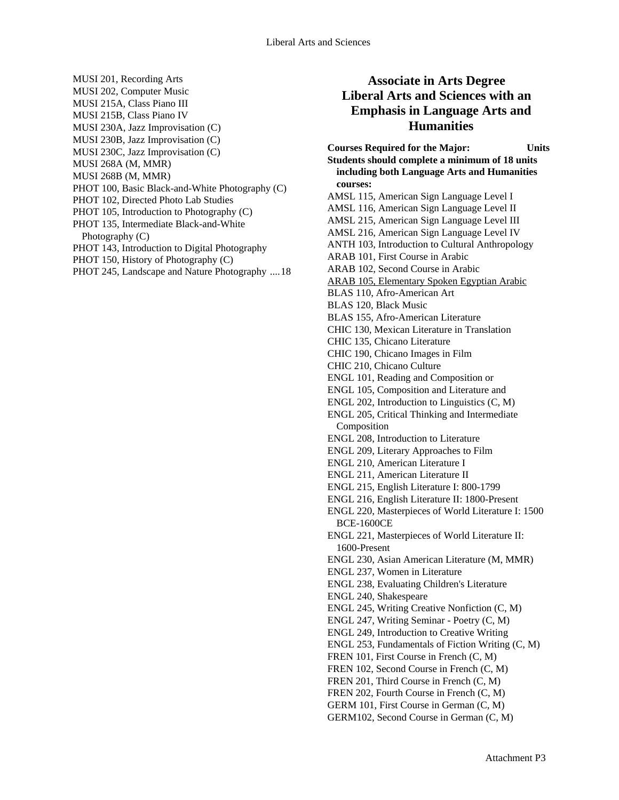- MUSI 201, Recording Arts MUSI 202, Computer Music MUSI 215A, Class Piano III MUSI 215B, Class Piano IV MUSI 230A, Jazz Improvisation (C) MUSI 230B, Jazz Improvisation (C) MUSI 230C, Jazz Improvisation (C) MUSI 268A (M, MMR) MUSI 268B (M, MMR) PHOT 100, Basic Black-and-White Photography (C) PHOT 102, Directed Photo Lab Studies
- PHOT 105, Introduction to Photography (C)
- PHOT 135, Intermediate Black-and-White

Photography (C)

- PHOT 143, Introduction to Digital Photography
- PHOT 150, History of Photography (C)
- PHOT 245, Landscape and Nature Photography ....18

### **Associate in Arts Degree Liberal Arts and Sciences with an Emphasis in Language Arts and Humanities**

**Courses Required for the Major: Units Students should complete a minimum of 18 units including both Language Arts and Humanities courses:**  AMSL 115, American Sign Language Level I AMSL 116, American Sign Language Level II AMSL 215, American Sign Language Level III AMSL 216, American Sign Language Level IV ANTH 103, Introduction to Cultural Anthropology ARAB 101, First Course in Arabic ARAB 102, Second Course in Arabic ARAB 105, Elementary Spoken Egyptian Arabic BLAS 110, Afro-American Art BLAS 120, Black Music BLAS 155, Afro-American Literature CHIC 130, Mexican Literature in Translation CHIC 135, Chicano Literature CHIC 190, Chicano Images in Film CHIC 210, Chicano Culture ENGL 101, Reading and Composition or ENGL 105, Composition and Literature and ENGL 202, Introduction to Linguistics (C, M) ENGL 205, Critical Thinking and Intermediate Composition ENGL 208, Introduction to Literature ENGL 209, Literary Approaches to Film ENGL 210, American Literature I ENGL 211, American Literature II ENGL 215, English Literature I: 800-1799 ENGL 216, English Literature II: 1800-Present ENGL 220, Masterpieces of World Literature I: 1500 BCE-1600CE ENGL 221, Masterpieces of World Literature II: 1600-Present ENGL 230, Asian American Literature (M, MMR) ENGL 237, Women in Literature ENGL 238, Evaluating Children's Literature ENGL 240, Shakespeare ENGL 245, Writing Creative Nonfiction (C, M) ENGL 247, Writing Seminar - Poetry (C, M) ENGL 249, Introduction to Creative Writing ENGL 253, Fundamentals of Fiction Writing (C, M) FREN 101, First Course in French (C, M) FREN 102, Second Course in French (C, M) FREN 201, Third Course in French (C, M) FREN 202, Fourth Course in French (C, M) GERM 101, First Course in German (C, M) GERM102, Second Course in German (C, M)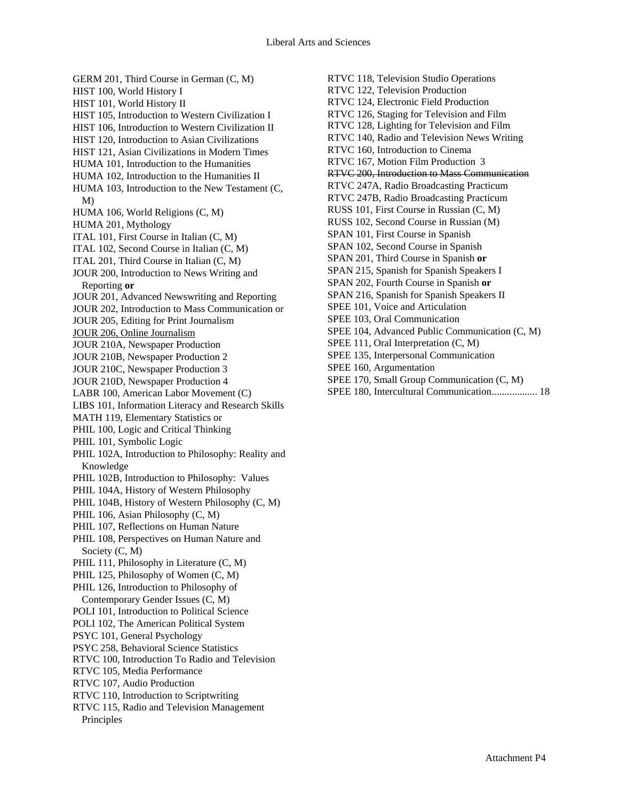GERM 201, Third Course in German (C, M) HIST 100, World History I HIST 101, World History II HIST 105, Introduction to Western Civilization I HIST 106, Introduction to Western Civilization II HIST 120, Introduction to Asian Civilizations HIST 121, Asian Civilizations in Modern Times HUMA 101, Introduction to the Humanities HUMA 102, Introduction to the Humanities II HUMA 103, Introduction to the New Testament (C, M) HUMA 106, World Religions (C, M) HUMA 201, Mythology ITAL 101, First Course in Italian (C, M) ITAL 102, Second Course in Italian (C, M) ITAL 201, Third Course in Italian (C, M) JOUR 200, Introduction to News Writing and Reporting **or**  JOUR 201, Advanced Newswriting and Reporting JOUR 202, Introduction to Mass Communication or JOUR 205, Editing for Print Journalism JOUR 206, Online Journalism JOUR 210A, Newspaper Production JOUR 210B, Newspaper Production 2 JOUR 210C, Newspaper Production 3 JOUR 210D, Newspaper Production 4 LABR 100, American Labor Movement (C) LIBS 101, Information Literacy and Research Skills MATH 119, Elementary Statistics or PHIL 100, Logic and Critical Thinking PHIL 101, Symbolic Logic PHIL 102A, Introduction to Philosophy: Reality and Knowledge PHIL 102B, Introduction to Philosophy: Values PHIL 104A, History of Western Philosophy PHIL 104B, History of Western Philosophy (C, M) PHIL 106, Asian Philosophy (C, M) PHIL 107, Reflections on Human Nature PHIL 108, Perspectives on Human Nature and Society (C, M) PHIL 111, Philosophy in Literature  $(C, M)$ PHIL 125, Philosophy of Women  $(C, M)$ PHIL 126, Introduction to Philosophy of Contemporary Gender Issues (C, M) POLI 101, Introduction to Political Science POLI 102, The American Political System PSYC 101, General Psychology PSYC 258, Behavioral Science Statistics RTVC 100, Introduction To Radio and Television RTVC 105, Media Performance RTVC 107, Audio Production RTVC 110, Introduction to Scriptwriting RTVC 115, Radio and Television Management Principles

RTVC 118, Television Studio Operations RTVC 122, Television Production RTVC 124, Electronic Field Production RTVC 126, Staging for Television and Film RTVC 128, Lighting for Television and Film RTVC 140, Radio and Television News Writing RTVC 160, Introduction to Cinema RTVC 167, Motion Film Production 3 RTVC 200, Introduction to Mass Communication RTVC 247A, Radio Broadcasting Practicum RTVC 247B, Radio Broadcasting Practicum RUSS 101, First Course in Russian (C, M) RUSS 102, Second Course in Russian (M) SPAN 101, First Course in Spanish SPAN 102, Second Course in Spanish SPAN 201, Third Course in Spanish **or**  SPAN 215, Spanish for Spanish Speakers I SPAN 202, Fourth Course in Spanish **or**  SPAN 216, Spanish for Spanish Speakers II SPEE 101, Voice and Articulation SPEE 103, Oral Communication SPEE 104, Advanced Public Communication (C, M) SPEE 111, Oral Interpretation (C, M) SPEE 135, Interpersonal Communication SPEE 160, Argumentation SPEE 170, Small Group Communication (C, M) SPEE 180, Intercultural Communication.................. 18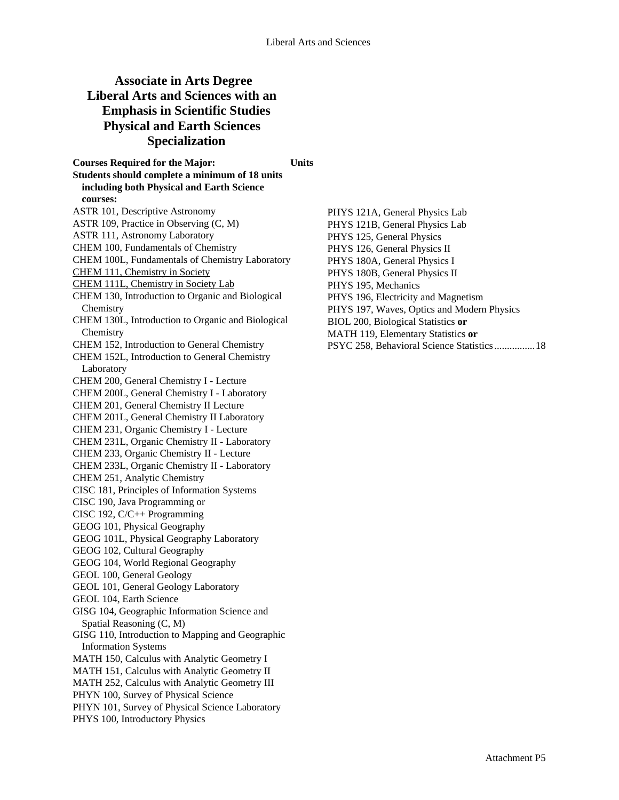# **Associate in Arts Degree Liberal Arts and Sciences with an Emphasis in Scientific Studies Physical and Earth Sciences Specialization**

**Courses Required for the Major: Units Students should complete a minimum of 18 units including both Physical and Earth Science courses:**  ASTR 101, Descriptive Astronomy ASTR 109, Practice in Observing (C, M) ASTR 111, Astronomy Laboratory CHEM 100, Fundamentals of Chemistry CHEM 100L, Fundamentals of Chemistry Laboratory CHEM 111, Chemistry in Society CHEM 111L, Chemistry in Society Lab CHEM 130, Introduction to Organic and Biological **Chemistry** CHEM 130L, Introduction to Organic and Biological **Chemistry** CHEM 152, Introduction to General Chemistry CHEM 152L, Introduction to General Chemistry Laboratory CHEM 200, General Chemistry I - Lecture CHEM 200L, General Chemistry I - Laboratory CHEM 201, General Chemistry II Lecture CHEM 201L, General Chemistry II Laboratory CHEM 231, Organic Chemistry I - Lecture CHEM 231L, Organic Chemistry II - Laboratory CHEM 233, Organic Chemistry II - Lecture CHEM 233L, Organic Chemistry II - Laboratory CHEM 251, Analytic Chemistry CISC 181, Principles of Information Systems CISC 190, Java Programming or CISC 192, C/C++ Programming GEOG 101, Physical Geography GEOG 101L, Physical Geography Laboratory GEOG 102, Cultural Geography GEOG 104, World Regional Geography GEOL 100, General Geology GEOL 101, General Geology Laboratory GEOL 104, Earth Science GISG 104, Geographic Information Science and Spatial Reasoning (C, M) GISG 110, Introduction to Mapping and Geographic Information Systems MATH 150, Calculus with Analytic Geometry I MATH 151, Calculus with Analytic Geometry II MATH 252, Calculus with Analytic Geometry III PHYN 100, Survey of Physical Science PHYN 101, Survey of Physical Science Laboratory PHYS 100, Introductory Physics

PHYS 121A, General Physics Lab PHYS 121B, General Physics Lab PHYS 125, General Physics PHYS 126, General Physics II PHYS 180A, General Physics I PHYS 180B, General Physics II PHYS 195, Mechanics PHYS 196, Electricity and Magnetism PHYS 197, Waves, Optics and Modern Physics BIOL 200, Biological Statistics **or**  MATH 119, Elementary Statistics **or**  PSYC 258, Behavioral Science Statistics ................18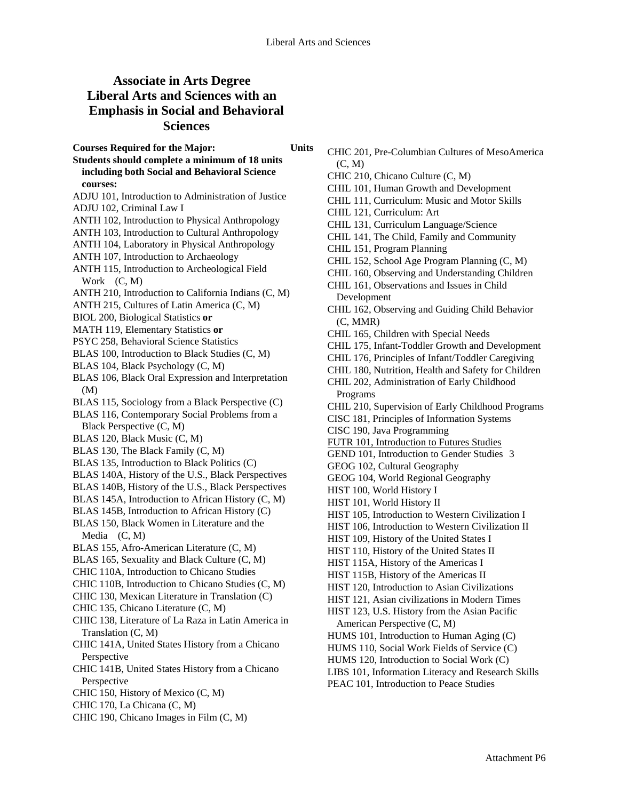# **Associate in Arts Degree Liberal Arts and Sciences with an Emphasis in Social and Behavioral Sciences**

- **Students should complete a minimum of 18 units including both Social and Behavioral Science courses:**
- ADJU 101, Introduction to Administration of Justice
- ADJU 102, Criminal Law I
- ANTH 102, Introduction to Physical Anthropology
- ANTH 103, Introduction to Cultural Anthropology
- ANTH 104, Laboratory in Physical Anthropology
- ANTH 107, Introduction to Archaeology
- ANTH 115, Introduction to Archeological Field Work (C, M)
- ANTH 210, Introduction to California Indians (C, M)
- ANTH 215, Cultures of Latin America (C, M)
- BIOL 200, Biological Statistics **or**
- MATH 119, Elementary Statistics **or**
- PSYC 258, Behavioral Science Statistics
- BLAS 100, Introduction to Black Studies (C, M)
- BLAS 104, Black Psychology (C, M)
- BLAS 106, Black Oral Expression and Interpretation (M)
- BLAS 115, Sociology from a Black Perspective (C)
- BLAS 116, Contemporary Social Problems from a Black Perspective (C, M)
- BLAS 120, Black Music (C, M)
- BLAS 130, The Black Family (C, M)
- BLAS 135, Introduction to Black Politics (C)
- BLAS 140A, History of the U.S., Black Perspectives
- BLAS 140B, History of the U.S., Black Perspectives
- BLAS 145A, Introduction to African History (C, M)
- BLAS 145B, Introduction to African History (C) BLAS 150, Black Women in Literature and the Media (C, M)
- BLAS 155, Afro-American Literature (C, M)
- BLAS 165, Sexuality and Black Culture (C, M)
- CHIC 110A, Introduction to Chicano Studies
- CHIC 110B, Introduction to Chicano Studies (C, M)
- CHIC 130, Mexican Literature in Translation (C)
- CHIC 135, Chicano Literature (C, M)
- CHIC 138, Literature of La Raza in Latin America in Translation (C, M)
- CHIC 141A, United States History from a Chicano Perspective
- CHIC 141B, United States History from a Chicano Perspective
- CHIC 150, History of Mexico (C, M)
- CHIC 170, La Chicana (C, M)
- CHIC 190, Chicano Images in Film (C, M)
- CHIC 201, Pre-Columbian Cultures of MesoAmerica (C, M)
	- CHIC 210, Chicano Culture (C, M)
	- CHIL 101, Human Growth and Development
	- CHIL 111, Curriculum: Music and Motor Skills
	- CHIL 121, Curriculum: Art
	- CHIL 131, Curriculum Language/Science
	- CHIL 141, The Child, Family and Community
	- CHIL 151, Program Planning
	- CHIL 152, School Age Program Planning (C, M)
	- CHIL 160, Observing and Understanding Children
	- CHIL 161, Observations and Issues in Child Development
	- CHIL 162, Observing and Guiding Child Behavior (C, MMR)
	- CHIL 165, Children with Special Needs
	- CHIL 175, Infant-Toddler Growth and Development
	- CHIL 176, Principles of Infant/Toddler Caregiving
	- CHIL 180, Nutrition, Health and Safety for Children
	- CHIL 202, Administration of Early Childhood Programs
	- CHIL 210, Supervision of Early Childhood Programs
	- CISC 181, Principles of Information Systems
	- CISC 190, Java Programming
	- FUTR 101, Introduction to Futures Studies
	- GEND 101, Introduction to Gender Studies 3
	- GEOG 102, Cultural Geography
	- GEOG 104, World Regional Geography
	- HIST 100, World History I
	- HIST 101, World History II
	- HIST 105, Introduction to Western Civilization I
	- HIST 106, Introduction to Western Civilization II
	- HIST 109, History of the United States I
	- HIST 110, History of the United States II
	- HIST 115A, History of the Americas I
	- HIST 115B, History of the Americas II
	- HIST 120, Introduction to Asian Civilizations
	- HIST 121, Asian civilizations in Modern Times
	- HIST 123, U.S. History from the Asian Pacific
	- American Perspective (C, M)
	- HUMS 101, Introduction to Human Aging (C)
	- HUMS 110, Social Work Fields of Service (C)
	- HUMS 120, Introduction to Social Work (C)
	- LIBS 101, Information Literacy and Research Skills
	- PEAC 101, Introduction to Peace Studies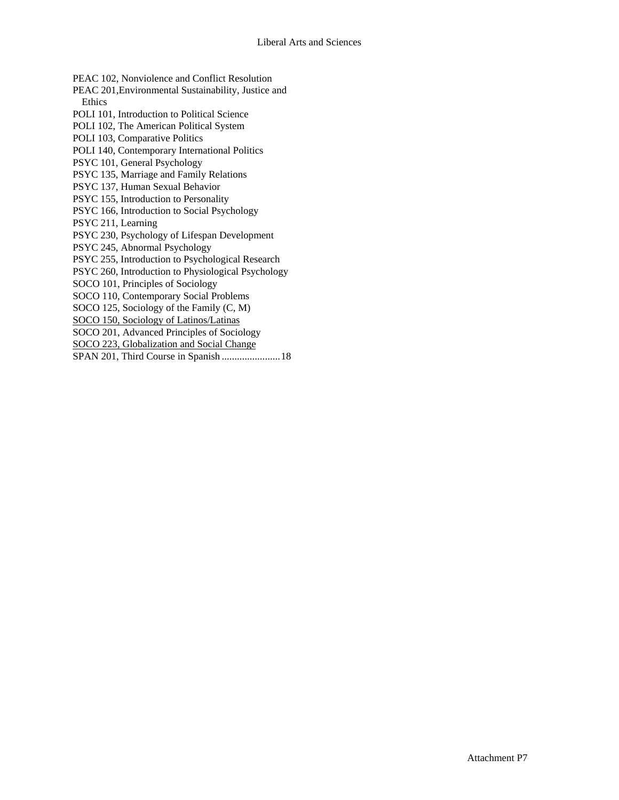PEAC 102, Nonviolence and Conflict Resolution PEAC 201,Environmental Sustainability, Justice and Ethics POLI 101, Introduction to Political Science POLI 102, The American Political System POLI 103, Comparative Politics POLI 140, Contemporary International Politics PSYC 101, General Psychology PSYC 135, Marriage and Family Relations PSYC 137, Human Sexual Behavior PSYC 155, Introduction to Personality PSYC 166, Introduction to Social Psychology PSYC 211, Learning PSYC 230, Psychology of Lifespan Development PSYC 245, Abnormal Psychology PSYC 255, Introduction to Psychological Research PSYC 260, Introduction to Physiological Psychology SOCO 101, Principles of Sociology SOCO 110, Contemporary Social Problems SOCO 125, Sociology of the Family (C, M) SOCO 150, Sociology of Latinos/Latinas SOCO 201, Advanced Principles of Sociology SOCO 223, Globalization and Social Change SPAN 201, Third Course in Spanish .......................18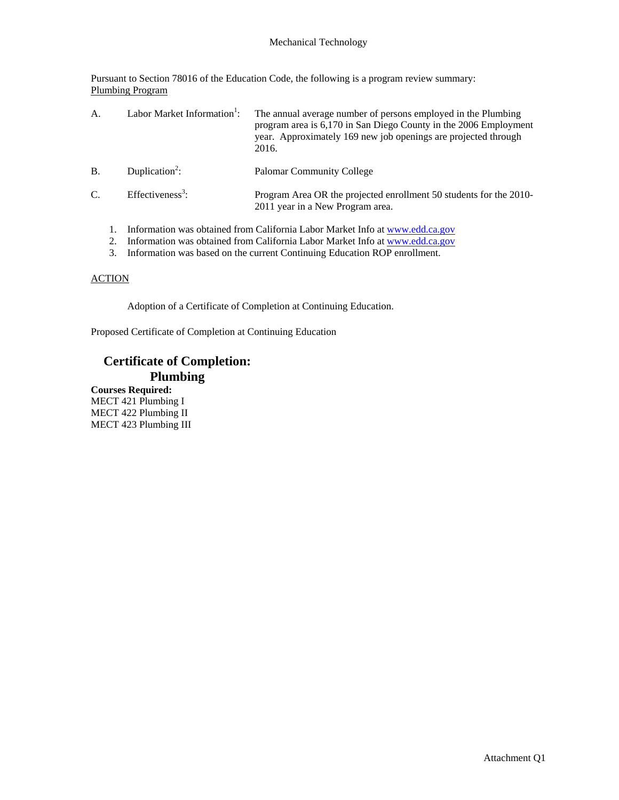### Mechanical Technology

Pursuant to Section 78016 of the Education Code, the following is a program review summary: Plumbing Program

| А.            |  | Labor Market Information <sup>1</sup> : | The annual average number of persons employed in the Plumbing<br>program area is 6,170 in San Diego County in the 2006 Employment<br>year. Approximately 169 new job openings are projected through<br>2016. |
|---------------|--|-----------------------------------------|--------------------------------------------------------------------------------------------------------------------------------------------------------------------------------------------------------------|
| <b>B.</b>     |  | Duplication <sup>2</sup> :              | <b>Palomar Community College</b>                                                                                                                                                                             |
| $\mathcal{C}$ |  | Effectiveness <sup>3</sup> :            | Program Area OR the projected enrollment 50 students for the 2010-<br>2011 year in a New Program area.                                                                                                       |
|               |  |                                         | Information was obtained from California Labor Market Info at www.edd.ca.gov                                                                                                                                 |

- 2. Information was obtained from California Labor Market Info at www.edd.ca.gov
- 3. Information was based on the current Continuing Education ROP enrollment.

### **ACTION**

Adoption of a Certificate of Completion at Continuing Education.

Proposed Certificate of Completion at Continuing Education

## **Certificate of Completion: Plumbing**

**Courses Required:** MECT 421 Plumbing I MECT 422 Plumbing II MECT 423 Plumbing III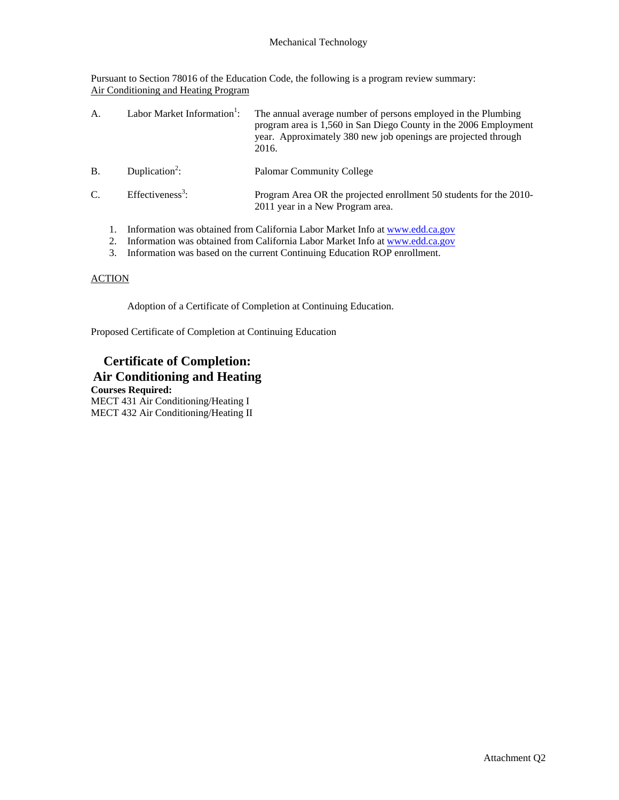Pursuant to Section 78016 of the Education Code, the following is a program review summary: Air Conditioning and Heating Program

| А.        |  | Labor Market Information <sup>1</sup> : | The annual average number of persons employed in the Plumbing<br>program area is 1,560 in San Diego County in the 2006 Employment<br>year. Approximately 380 new job openings are projected through<br>2016. |
|-----------|--|-----------------------------------------|--------------------------------------------------------------------------------------------------------------------------------------------------------------------------------------------------------------|
| <b>B.</b> |  | Duplication <sup>2</sup> :              | <b>Palomar Community College</b>                                                                                                                                                                             |
| C.        |  | Effectiveness <sup>3</sup> :            | Program Area OR the projected enrollment 50 students for the 2010-<br>2011 year in a New Program area.                                                                                                       |
|           |  |                                         | Information was obtained from California Labor Market Info at www.edd.ca.gov<br>Information was obtained from Colifornia Labor Market Info at www.add.go.gov                                                 |

2. Information was obtained from California Labor Market Info at <u>www.edd.ca.gov</u> 3. Information was based on the current Continuing Education ROP enrollment.

### **ACTION**

Adoption of a Certificate of Completion at Continuing Education.

Proposed Certificate of Completion at Continuing Education

## **Certificate of Completion: Air Conditioning and Heating**

**Courses Required:** MECT 431 Air Conditioning/Heating I MECT 432 Air Conditioning/Heating II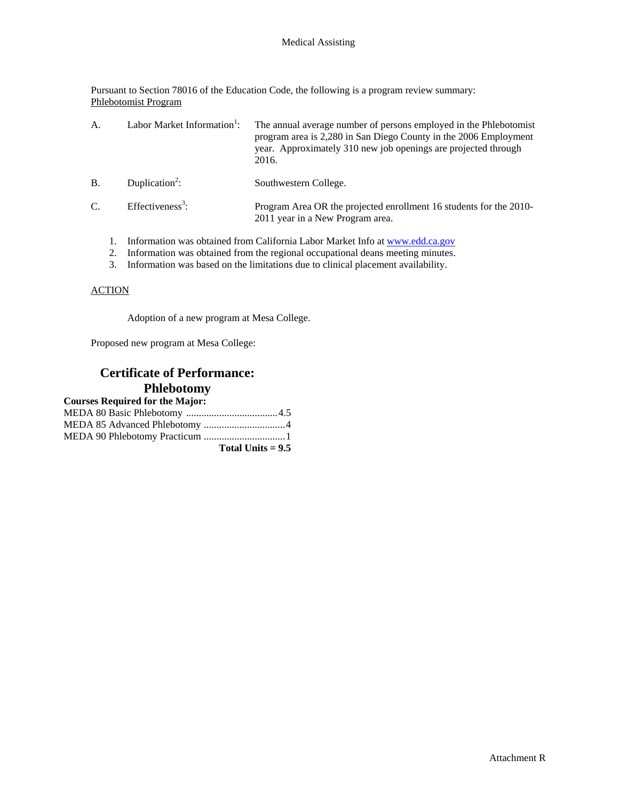Pursuant to Section 78016 of the Education Code, the following is a program review summary: Phlebotomist Program

| А.         | Labor Market Information <sup>1</sup> : | The annual average number of persons employed in the Phlebotomist<br>program area is 2,280 in San Diego County in the 2006 Employment<br>year. Approximately 310 new job openings are projected through<br>2016. |
|------------|-----------------------------------------|------------------------------------------------------------------------------------------------------------------------------------------------------------------------------------------------------------------|
| <b>B</b> . | Duplication <sup>2</sup> :              | Southwestern College.                                                                                                                                                                                            |
| C.         | Effectiveness <sup>3</sup> :            | Program Area OR the projected enrollment 16 students for the 2010-<br>2011 year in a New Program area.                                                                                                           |
|            |                                         | Information was obtained from California Labor Market Info at www.edd.ca.gov                                                                                                                                     |

- 
- 2. Information was obtained from the regional occupational deans meeting minutes.
- 3. Information was based on the limitations due to clinical placement availability.

### **ACTION**

Adoption of a new program at Mesa College.

Proposed new program at Mesa College:

## **Certificate of Performance: Phlebotomy**

| Total Units $= 9.5$ |
|---------------------|